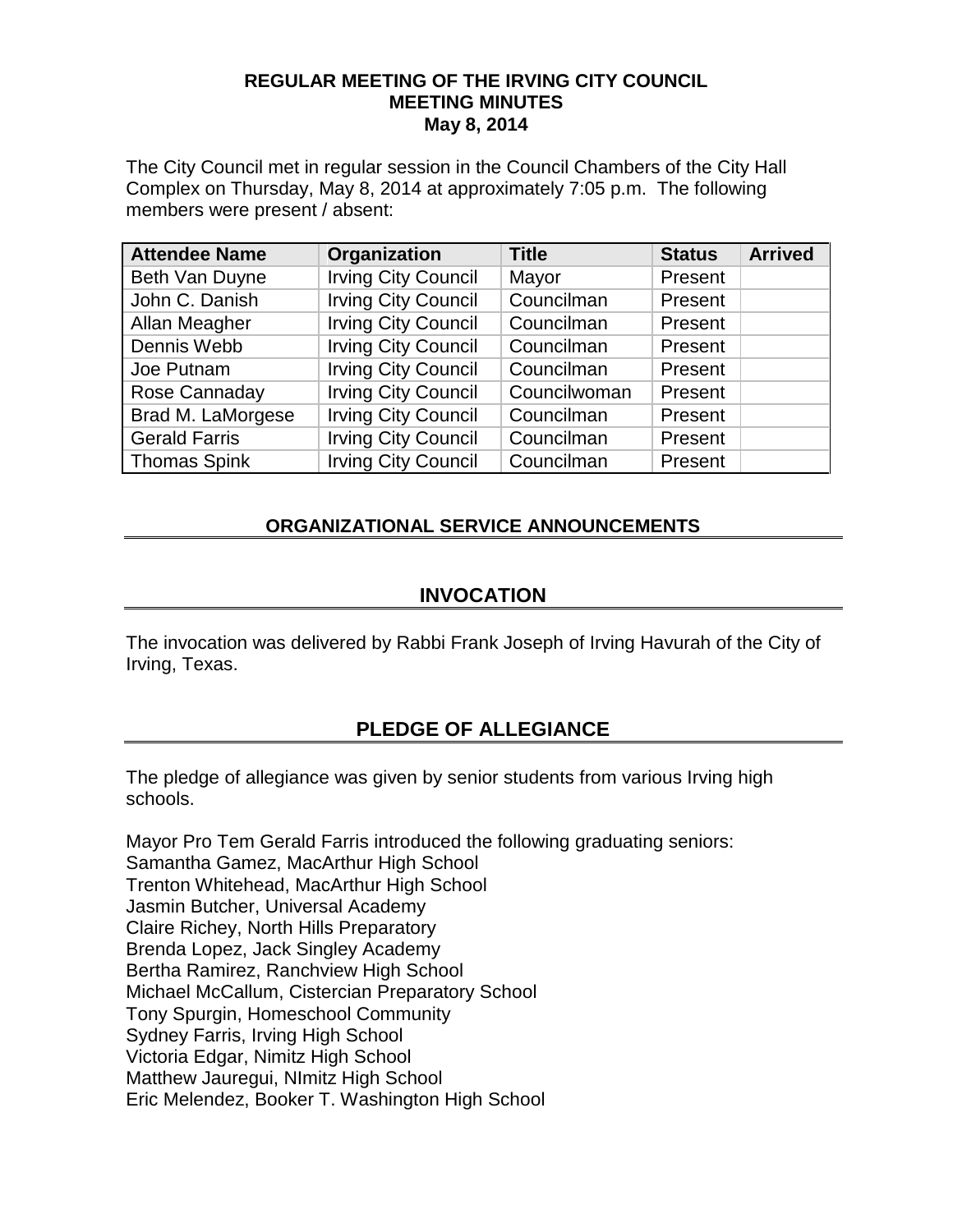#### **REGULAR MEETING OF THE IRVING CITY COUNCIL MEETING MINUTES May 8, 2014**

The City Council met in regular session in the Council Chambers of the City Hall Complex on Thursday, May 8, 2014 at approximately 7:05 p.m. The following members were present / absent:

| <b>Attendee Name</b> | Organization               | <b>Title</b> | <b>Status</b> | <b>Arrived</b> |
|----------------------|----------------------------|--------------|---------------|----------------|
| Beth Van Duyne       | <b>Irving City Council</b> | Mayor        | Present       |                |
| John C. Danish       | <b>Irving City Council</b> | Councilman   | Present       |                |
| Allan Meagher        | <b>Irving City Council</b> | Councilman   | Present       |                |
| Dennis Webb          | <b>Irving City Council</b> | Councilman   | Present       |                |
| Joe Putnam           | <b>Irving City Council</b> | Councilman   | Present       |                |
| Rose Cannaday        | <b>Irving City Council</b> | Councilwoman | Present       |                |
| Brad M. LaMorgese    | <b>Irving City Council</b> | Councilman   | Present       |                |
| <b>Gerald Farris</b> | <b>Irving City Council</b> | Councilman   | Present       |                |
| <b>Thomas Spink</b>  | <b>Irving City Council</b> | Councilman   | Present       |                |

## **ORGANIZATIONAL SERVICE ANNOUNCEMENTS**

#### **INVOCATION**

The invocation was delivered by Rabbi Frank Joseph of Irving Havurah of the City of Irving, Texas.

## **PLEDGE OF ALLEGIANCE**

The pledge of allegiance was given by senior students from various Irving high schools.

Mayor Pro Tem Gerald Farris introduced the following graduating seniors: Samantha Gamez, MacArthur High School Trenton Whitehead, MacArthur High School Jasmin Butcher, Universal Academy Claire Richey, North Hills Preparatory Brenda Lopez, Jack Singley Academy Bertha Ramirez, Ranchview High School Michael McCallum, Cistercian Preparatory School Tony Spurgin, Homeschool Community Sydney Farris, Irving High School Victoria Edgar, Nimitz High School Matthew Jauregui, NImitz High School Eric Melendez, Booker T. Washington High School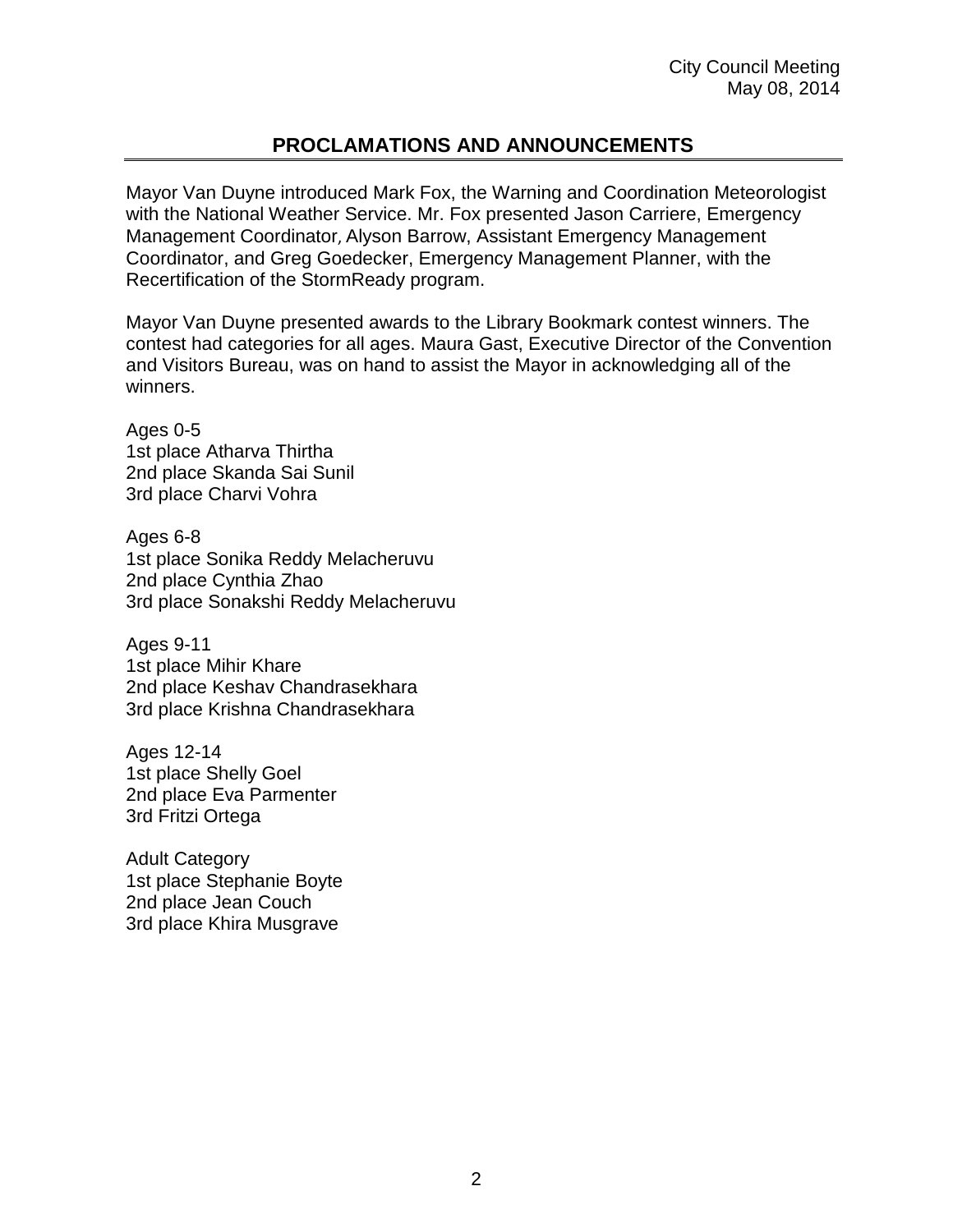# **PROCLAMATIONS AND ANNOUNCEMENTS**

Mayor Van Duyne introduced Mark Fox, the Warning and Coordination Meteorologist with the National Weather Service. Mr. Fox presented Jason Carriere, Emergency Management Coordinator, Alyson Barrow, Assistant Emergency Management Coordinator, and Greg Goedecker, Emergency Management Planner, with the Recertification of the StormReady program.

Mayor Van Duyne presented awards to the Library Bookmark contest winners. The contest had categories for all ages. Maura Gast, Executive Director of the Convention and Visitors Bureau, was on hand to assist the Mayor in acknowledging all of the winners.

Ages 0-5 1st place Atharva Thirtha 2nd place Skanda Sai Sunil 3rd place Charvi Vohra

Ages 6-8 1st place Sonika Reddy Melacheruvu 2nd place Cynthia Zhao 3rd place Sonakshi Reddy Melacheruvu

Ages 9-11 1st place Mihir Khare 2nd place Keshav Chandrasekhara 3rd place Krishna Chandrasekhara

Ages 12-14 1st place Shelly Goel 2nd place Eva Parmenter 3rd Fritzi Ortega

Adult Category 1st place Stephanie Boyte 2nd place Jean Couch 3rd place Khira Musgrave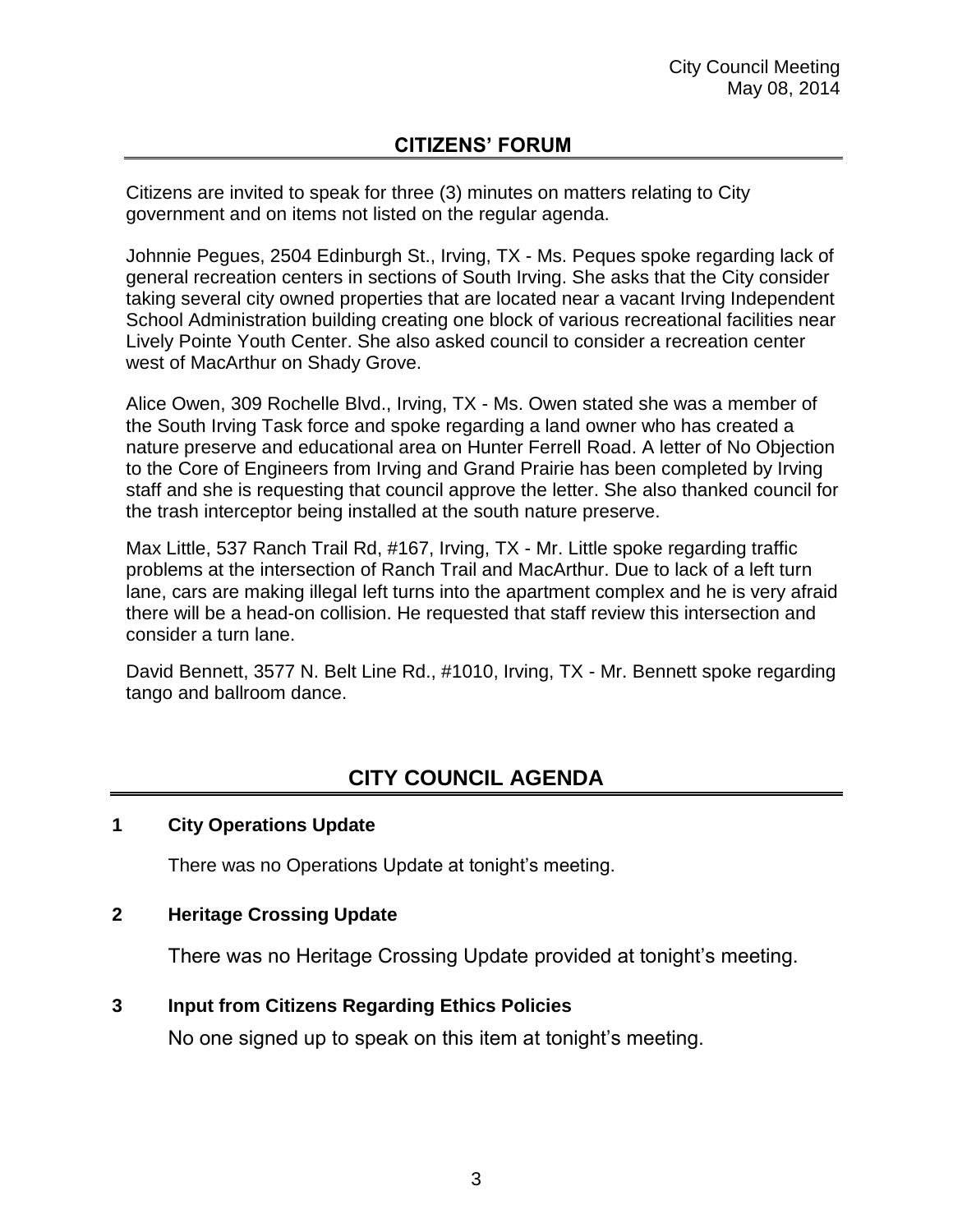# **CITIZENS' FORUM**

Citizens are invited to speak for three (3) minutes on matters relating to City government and on items not listed on the regular agenda.

Johnnie Pegues, 2504 Edinburgh St., Irving, TX - Ms. Peques spoke regarding lack of general recreation centers in sections of South Irving. She asks that the City consider taking several city owned properties that are located near a vacant Irving Independent School Administration building creating one block of various recreational facilities near Lively Pointe Youth Center. She also asked council to consider a recreation center west of MacArthur on Shady Grove.

Alice Owen, 309 Rochelle Blvd., Irving, TX - Ms. Owen stated she was a member of the South Irving Task force and spoke regarding a land owner who has created a nature preserve and educational area on Hunter Ferrell Road. A letter of No Objection to the Core of Engineers from Irving and Grand Prairie has been completed by Irving staff and she is requesting that council approve the letter. She also thanked council for the trash interceptor being installed at the south nature preserve.

Max Little, 537 Ranch Trail Rd, #167, Irving, TX - Mr. Little spoke regarding traffic problems at the intersection of Ranch Trail and MacArthur. Due to lack of a left turn lane, cars are making illegal left turns into the apartment complex and he is very afraid there will be a head-on collision. He requested that staff review this intersection and consider a turn lane.

David Bennett, 3577 N. Belt Line Rd., #1010, Irving, TX - Mr. Bennett spoke regarding tango and ballroom dance.

# **CITY COUNCIL AGENDA**

#### **1 City Operations Update**

There was no Operations Update at tonight's meeting.

#### **2 Heritage Crossing Update**

There was no Heritage Crossing Update provided at tonight's meeting.

#### **3 Input from Citizens Regarding Ethics Policies**

No one signed up to speak on this item at tonight's meeting.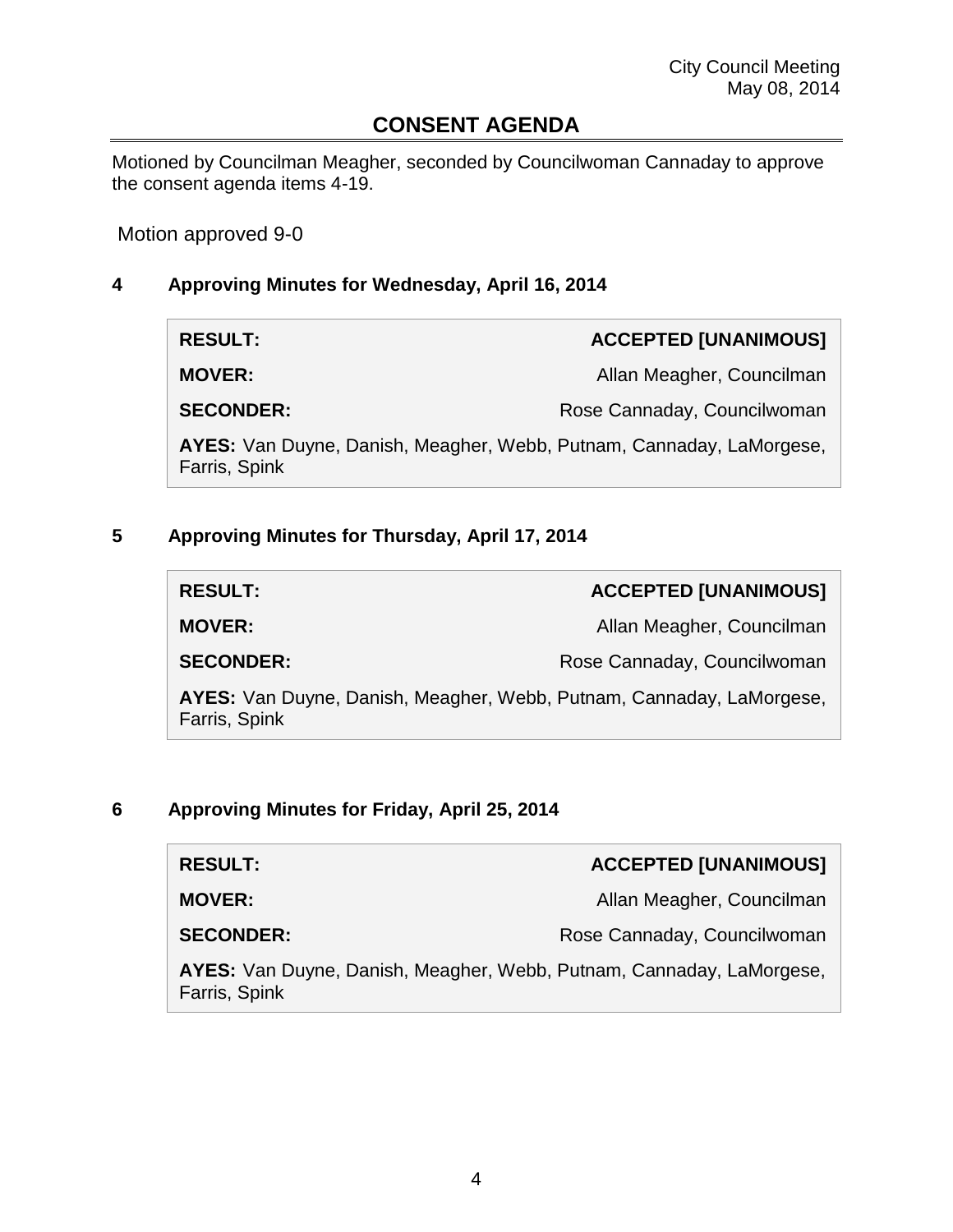# **CONSENT AGENDA**

Motioned by Councilman Meagher, seconded by Councilwoman Cannaday to approve the consent agenda items 4-19.

Motion approved 9-0

## **4 Approving Minutes for Wednesday, April 16, 2014**

| <b>RESULT:</b>                                                                        | <b>ACCEPTED [UNANIMOUS]</b> |
|---------------------------------------------------------------------------------------|-----------------------------|
| <b>MOVER:</b>                                                                         | Allan Meagher, Councilman   |
| <b>SECONDER:</b>                                                                      | Rose Cannaday, Councilwoman |
| AYES: Van Duyne, Danish, Meagher, Webb, Putnam, Cannaday, LaMorgese,<br>Farris, Spink |                             |

# **5 Approving Minutes for Thursday, April 17, 2014**

| <b>RESULT:</b>                                                                        | <b>ACCEPTED [UNANIMOUS]</b> |
|---------------------------------------------------------------------------------------|-----------------------------|
| <b>MOVER:</b>                                                                         | Allan Meagher, Councilman   |
| <b>SECONDER:</b>                                                                      | Rose Cannaday, Councilwoman |
| AYES: Van Duyne, Danish, Meagher, Webb, Putnam, Cannaday, LaMorgese,<br>Farris, Spink |                             |

### **6 Approving Minutes for Friday, April 25, 2014**

| <b>RESULT:</b>                                                                        | <b>ACCEPTED [UNANIMOUS]</b> |
|---------------------------------------------------------------------------------------|-----------------------------|
| <b>MOVER:</b>                                                                         | Allan Meagher, Councilman   |
| <b>SECONDER:</b>                                                                      | Rose Cannaday, Councilwoman |
| AYES: Van Duyne, Danish, Meagher, Webb, Putnam, Cannaday, LaMorgese,<br>Farris, Spink |                             |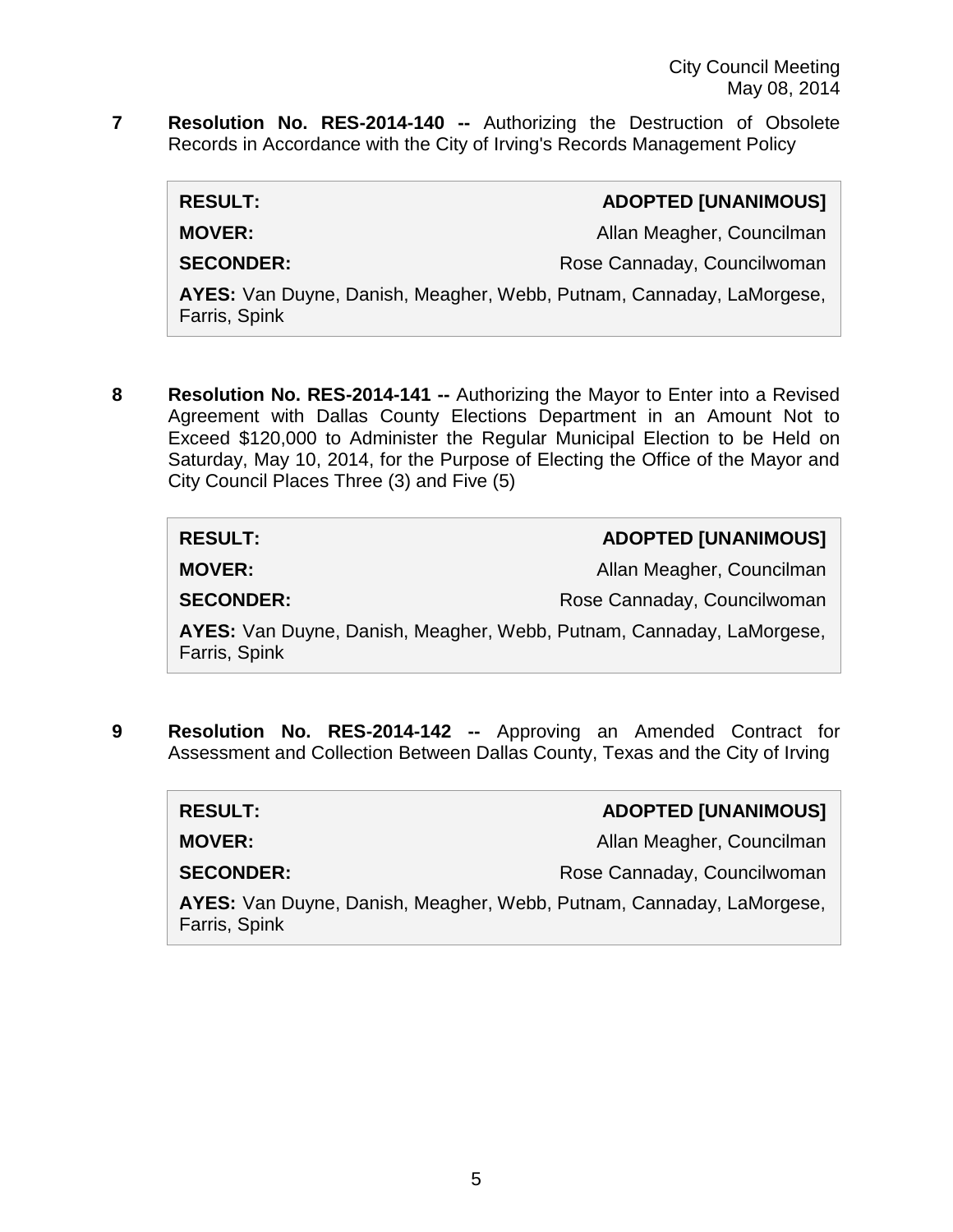**7 Resolution No. RES-2014-140 --** Authorizing the Destruction of Obsolete Records in Accordance with the City of Irving's Records Management Policy

| <b>RESULT:</b>                                                                        | <b>ADOPTED [UNANIMOUS]</b>  |
|---------------------------------------------------------------------------------------|-----------------------------|
| <b>MOVER:</b>                                                                         | Allan Meagher, Councilman   |
| <b>SECONDER:</b>                                                                      | Rose Cannaday, Councilwoman |
| AYES: Van Duyne, Danish, Meagher, Webb, Putnam, Cannaday, LaMorgese,<br>Farris, Spink |                             |

**8 Resolution No. RES-2014-141 --** Authorizing the Mayor to Enter into a Revised Agreement with Dallas County Elections Department in an Amount Not to Exceed \$120,000 to Administer the Regular Municipal Election to be Held on Saturday, May 10, 2014, for the Purpose of Electing the Office of the Mayor and City Council Places Three (3) and Five (5)

| <b>RESULT:</b>                                                                        | <b>ADOPTED [UNANIMOUS]</b>  |
|---------------------------------------------------------------------------------------|-----------------------------|
| <b>MOVER:</b>                                                                         | Allan Meagher, Councilman   |
| <b>SECONDER:</b>                                                                      | Rose Cannaday, Councilwoman |
| AYES: Van Duyne, Danish, Meagher, Webb, Putnam, Cannaday, LaMorgese,<br>Farris, Spink |                             |

**9 Resolution No. RES-2014-142 --** Approving an Amended Contract for Assessment and Collection Between Dallas County, Texas and the City of Irving

| <b>RESULT:</b>                                                                        | <b>ADOPTED [UNANIMOUS]</b>  |
|---------------------------------------------------------------------------------------|-----------------------------|
| <b>MOVER:</b>                                                                         | Allan Meagher, Councilman   |
| <b>SECONDER:</b>                                                                      | Rose Cannaday, Councilwoman |
| AYES: Van Duyne, Danish, Meagher, Webb, Putnam, Cannaday, LaMorgese,<br>Farris, Spink |                             |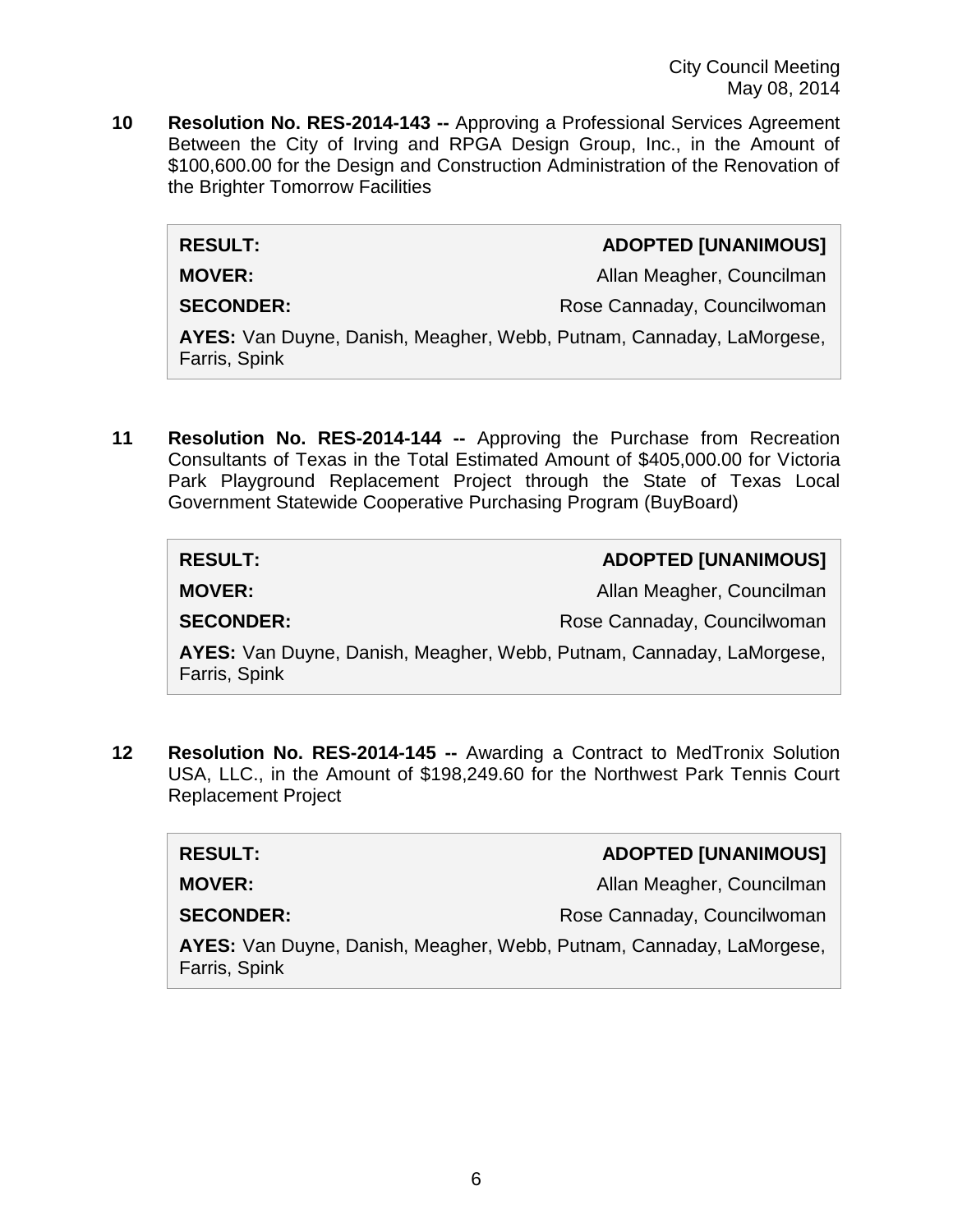City Council Meeting May 08, 2014

**10 Resolution No. RES-2014-143 --** Approving a Professional Services Agreement Between the City of Irving and RPGA Design Group, Inc., in the Amount of \$100,600.00 for the Design and Construction Administration of the Renovation of the Brighter Tomorrow Facilities

#### **RESULT: ADOPTED [UNANIMOUS]**

**MOVER:** Allan Meagher, Councilman

Farris, Spink

**SECONDER:** Rose Cannaday, Councilwoman

**AYES:** Van Duyne, Danish, Meagher, Webb, Putnam, Cannaday, LaMorgese, Farris, Spink

**11 Resolution No. RES-2014-144 --** Approving the Purchase from Recreation Consultants of Texas in the Total Estimated Amount of \$405,000.00 for Victoria Park Playground Replacement Project through the State of Texas Local Government Statewide Cooperative Purchasing Program (BuyBoard)

| <b>RESULT:</b>                                                       | <b>ADOPTED [UNANIMOUS]</b>  |
|----------------------------------------------------------------------|-----------------------------|
| <b>MOVER:</b>                                                        | Allan Meagher, Councilman   |
| <b>SECONDER:</b>                                                     | Rose Cannaday, Councilwoman |
| AYES: Van Duyne, Danish, Meagher, Webb, Putnam, Cannaday, LaMorgese, |                             |

**12 Resolution No. RES-2014-145 --** Awarding a Contract to MedTronix Solution USA, LLC., in the Amount of \$198,249.60 for the Northwest Park Tennis Court Replacement Project

| <b>RESULT:</b>                                                                        | <b>ADOPTED [UNANIMOUS]</b>  |
|---------------------------------------------------------------------------------------|-----------------------------|
| <b>MOVER:</b>                                                                         | Allan Meagher, Councilman   |
| <b>SECONDER:</b>                                                                      | Rose Cannaday, Councilwoman |
| AYES: Van Duyne, Danish, Meagher, Webb, Putnam, Cannaday, LaMorgese,<br>Farris, Spink |                             |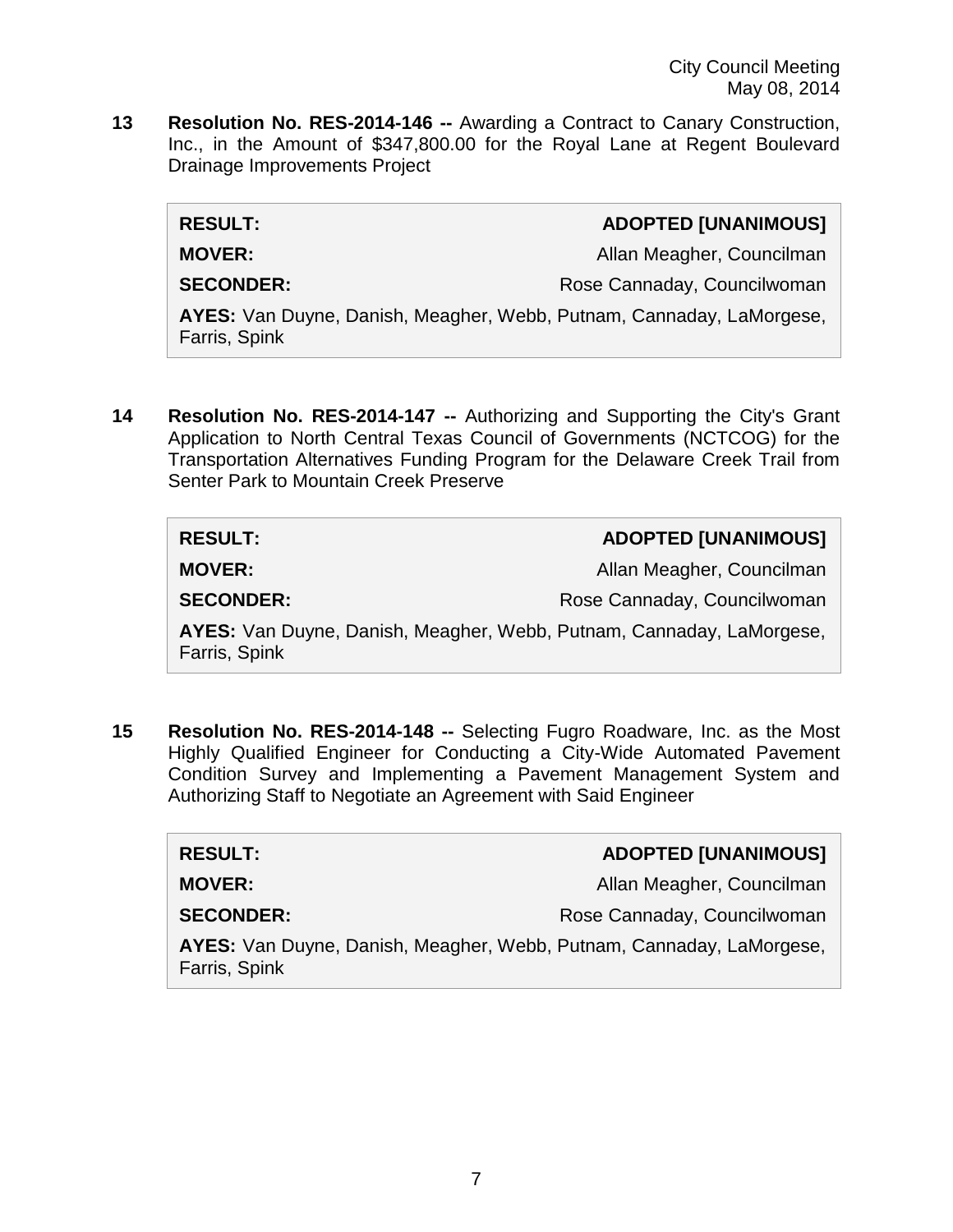**13 Resolution No. RES-2014-146 --** Awarding a Contract to Canary Construction, Inc., in the Amount of \$347,800.00 for the Royal Lane at Regent Boulevard Drainage Improvements Project

| <b>RESULT:</b>                                                                        | <b>ADOPTED [UNANIMOUS]</b>  |
|---------------------------------------------------------------------------------------|-----------------------------|
| <b>MOVER:</b>                                                                         | Allan Meagher, Councilman   |
| <b>SECONDER:</b>                                                                      | Rose Cannaday, Councilwoman |
| AYES: Van Duyne, Danish, Meagher, Webb, Putnam, Cannaday, LaMorgese,<br>Farris, Spink |                             |

**14 Resolution No. RES-2014-147 --** Authorizing and Supporting the City's Grant Application to North Central Texas Council of Governments (NCTCOG) for the Transportation Alternatives Funding Program for the Delaware Creek Trail from Senter Park to Mountain Creek Preserve

| <b>RESULT:</b>                                                                        | <b>ADOPTED [UNANIMOUS]</b>  |
|---------------------------------------------------------------------------------------|-----------------------------|
| <b>MOVER:</b>                                                                         | Allan Meagher, Councilman   |
| <b>SECONDER:</b>                                                                      | Rose Cannaday, Councilwoman |
| AYES: Van Duyne, Danish, Meagher, Webb, Putnam, Cannaday, LaMorgese,<br>Farris, Spink |                             |

**15 Resolution No. RES-2014-148 --** Selecting Fugro Roadware, Inc. as the Most Highly Qualified Engineer for Conducting a City-Wide Automated Pavement Condition Survey and Implementing a Pavement Management System and Authorizing Staff to Negotiate an Agreement with Said Engineer

| <b>RESULT:</b>                                                                        | <b>ADOPTED [UNANIMOUS]</b>  |
|---------------------------------------------------------------------------------------|-----------------------------|
| <b>MOVER:</b>                                                                         | Allan Meagher, Councilman   |
| <b>SECONDER:</b>                                                                      | Rose Cannaday, Councilwoman |
| AYES: Van Duyne, Danish, Meagher, Webb, Putnam, Cannaday, LaMorgese,<br>Farris, Spink |                             |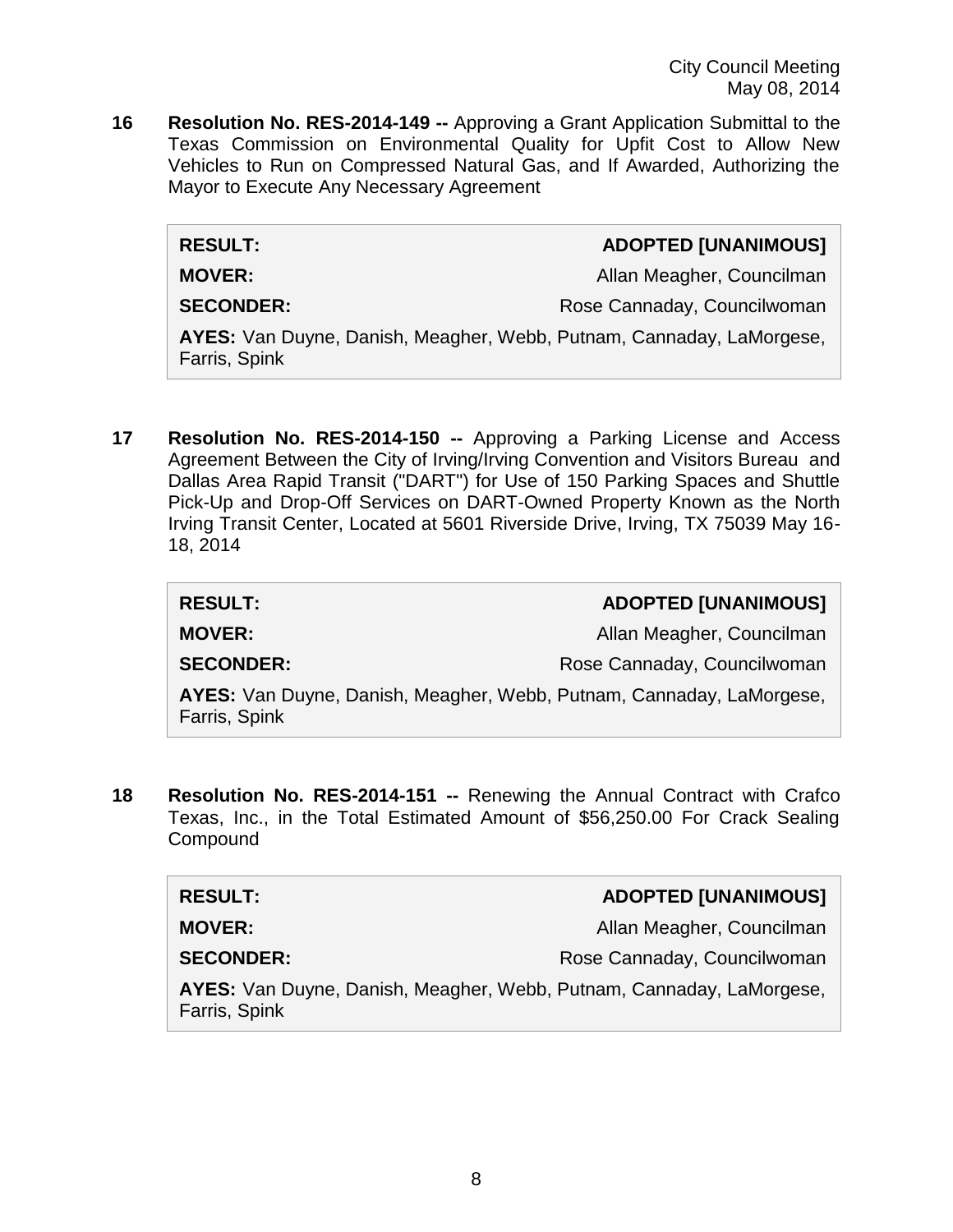City Council Meeting May 08, 2014

**16 Resolution No. RES-2014-149 --** Approving a Grant Application Submittal to the Texas Commission on Environmental Quality for Upfit Cost to Allow New Vehicles to Run on Compressed Natural Gas, and If Awarded, Authorizing the Mayor to Execute Any Necessary Agreement

 $RESULT:$ 

**MOVER:** Allan Meagher, Councilman

**SECONDER:** Rose Cannaday, Councilwoman

**AYES:** Van Duyne, Danish, Meagher, Webb, Putnam, Cannaday, LaMorgese, Farris, Spink

**17 Resolution No. RES-2014-150 --** Approving a Parking License and Access Agreement Between the City of Irving/Irving Convention and Visitors Bureau and Dallas Area Rapid Transit ("DART") for Use of 150 Parking Spaces and Shuttle Pick-Up and Drop-Off Services on DART-Owned Property Known as the North Irving Transit Center, Located at 5601 Riverside Drive, Irving, TX 75039 May 16- 18, 2014

| <b>RESULT:</b>                                                                        | <b>ADOPTED [UNANIMOUS]</b>  |
|---------------------------------------------------------------------------------------|-----------------------------|
| <b>MOVER:</b>                                                                         | Allan Meagher, Councilman   |
| <b>SECONDER:</b>                                                                      | Rose Cannaday, Councilwoman |
| AYES: Van Duyne, Danish, Meagher, Webb, Putnam, Cannaday, LaMorgese,<br>Farris, Spink |                             |

**18 Resolution No. RES-2014-151 --** Renewing the Annual Contract with Crafco Texas, Inc., in the Total Estimated Amount of \$56,250.00 For Crack Sealing **Compound** 

| <b>RESULT:</b>                                                                        | <b>ADOPTED [UNANIMOUS]</b>  |
|---------------------------------------------------------------------------------------|-----------------------------|
| <b>MOVER:</b>                                                                         | Allan Meagher, Councilman   |
| <b>SECONDER:</b>                                                                      | Rose Cannaday, Councilwoman |
| AYES: Van Duyne, Danish, Meagher, Webb, Putnam, Cannaday, LaMorgese,<br>Farris, Spink |                             |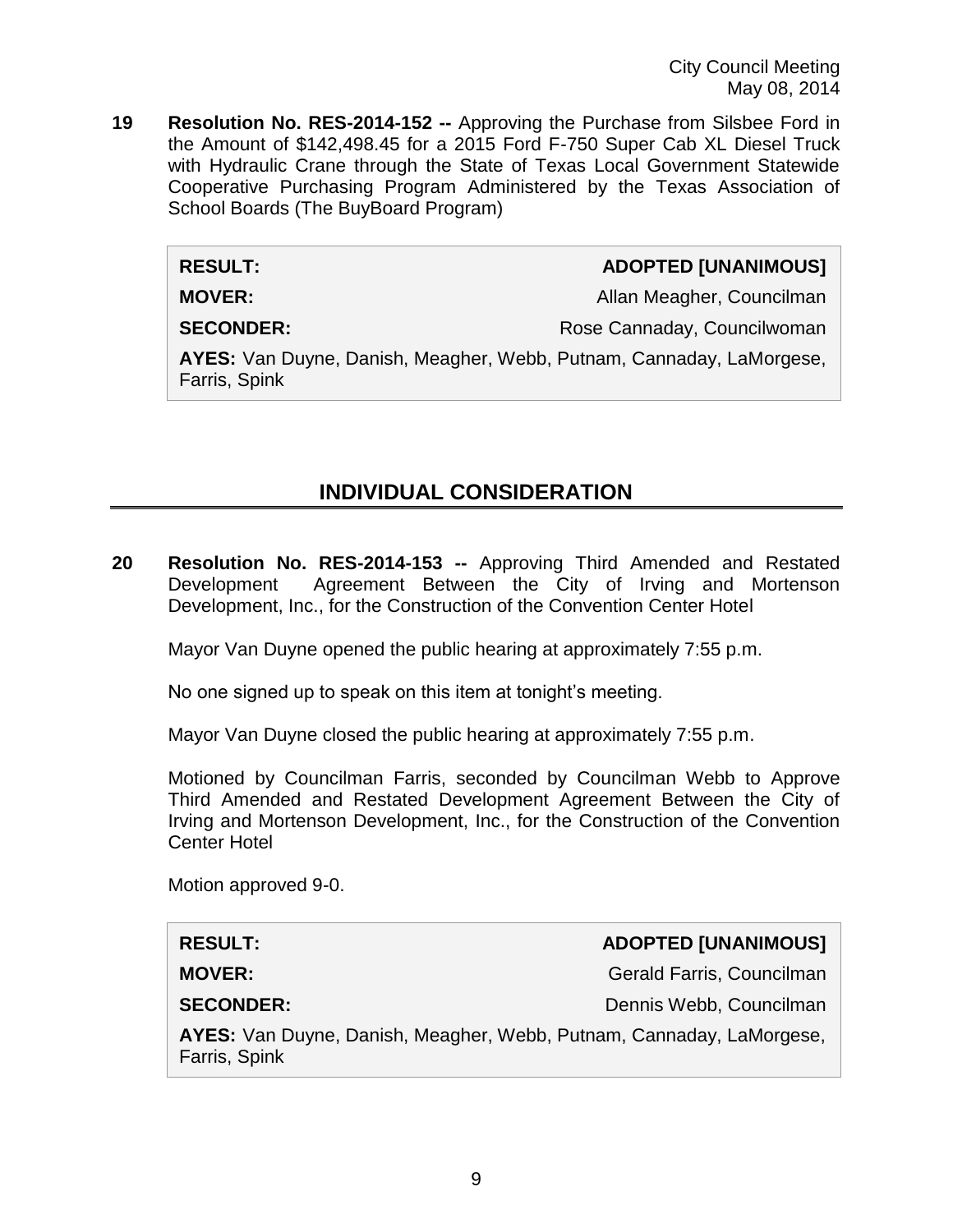City Council Meeting May 08, 2014

**19 Resolution No. RES-2014-152 --** Approving the Purchase from Silsbee Ford in the Amount of \$142,498.45 for a 2015 Ford F-750 Super Cab XL Diesel Truck with Hydraulic Crane through the State of Texas Local Government Statewide Cooperative Purchasing Program Administered by the Texas Association of School Boards (The BuyBoard Program)

#### **RESULT: ADOPTED [UNANIMOUS]**

**MOVER:** Allan Meagher, Councilman

**SECONDER:** Rose Cannaday, Councilwoman

**AYES:** Van Duyne, Danish, Meagher, Webb, Putnam, Cannaday, LaMorgese, Farris, Spink

# **INDIVIDUAL CONSIDERATION**

**20 Resolution No. RES-2014-153 --** Approving Third Amended and Restated Development Agreement Between the City of Irving and Mortenson Development, Inc., for the Construction of the Convention Center Hotel

Mayor Van Duyne opened the public hearing at approximately 7:55 p.m.

No one signed up to speak on this item at tonight's meeting.

Mayor Van Duyne closed the public hearing at approximately 7:55 p.m.

Motioned by Councilman Farris, seconded by Councilman Webb to Approve Third Amended and Restated Development Agreement Between the City of Irving and Mortenson Development, Inc., for the Construction of the Convention Center Hotel

Motion approved 9-0.

| <b>RESULT:</b>                                                                        | <b>ADOPTED [UNANIMOUS]</b> |
|---------------------------------------------------------------------------------------|----------------------------|
| <b>MOVER:</b>                                                                         | Gerald Farris, Councilman  |
| <b>SECONDER:</b>                                                                      | Dennis Webb, Councilman    |
| AYES: Van Duyne, Danish, Meagher, Webb, Putnam, Cannaday, LaMorgese,<br>Farris, Spink |                            |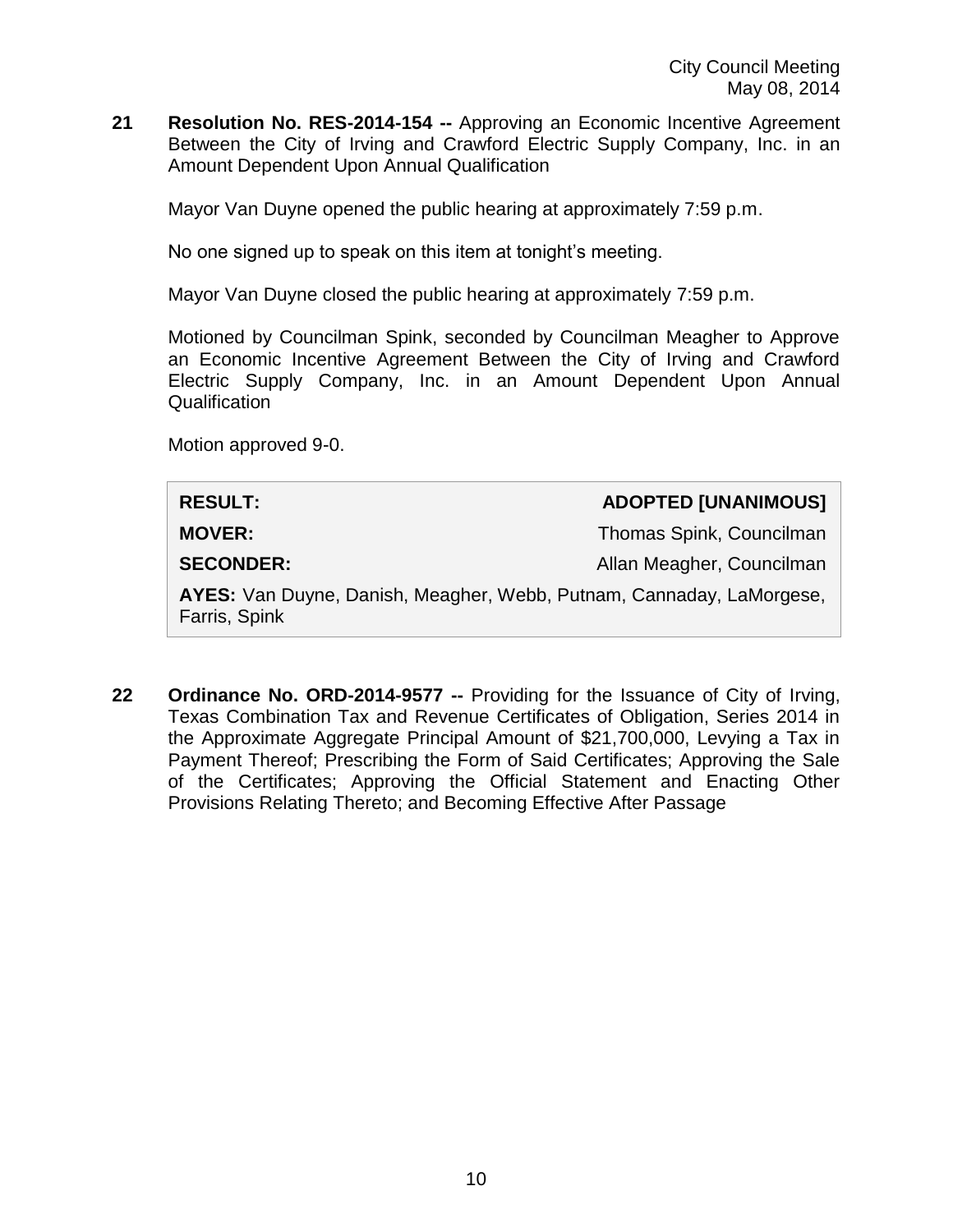**21 Resolution No. RES-2014-154 --** Approving an Economic Incentive Agreement Between the City of Irving and Crawford Electric Supply Company, Inc. in an Amount Dependent Upon Annual Qualification

Mayor Van Duyne opened the public hearing at approximately 7:59 p.m.

No one signed up to speak on this item at tonight's meeting.

Mayor Van Duyne closed the public hearing at approximately 7:59 p.m.

Motioned by Councilman Spink, seconded by Councilman Meagher to Approve an Economic Incentive Agreement Between the City of Irving and Crawford Electric Supply Company, Inc. in an Amount Dependent Upon Annual **Qualification** 

Motion approved 9-0.

| <b>RESULT:</b>                                                                        | <b>ADOPTED [UNANIMOUS]</b> |
|---------------------------------------------------------------------------------------|----------------------------|
| <b>MOVER:</b>                                                                         | Thomas Spink, Councilman   |
| <b>SECONDER:</b>                                                                      | Allan Meagher, Councilman  |
| AYES: Van Duyne, Danish, Meagher, Webb, Putnam, Cannaday, LaMorgese,<br>Farris, Spink |                            |

**22 Ordinance No. ORD-2014-9577 --** Providing for the Issuance of City of Irving, Texas Combination Tax and Revenue Certificates of Obligation, Series 2014 in the Approximate Aggregate Principal Amount of \$21,700,000, Levying a Tax in Payment Thereof; Prescribing the Form of Said Certificates; Approving the Sale of the Certificates; Approving the Official Statement and Enacting Other Provisions Relating Thereto; and Becoming Effective After Passage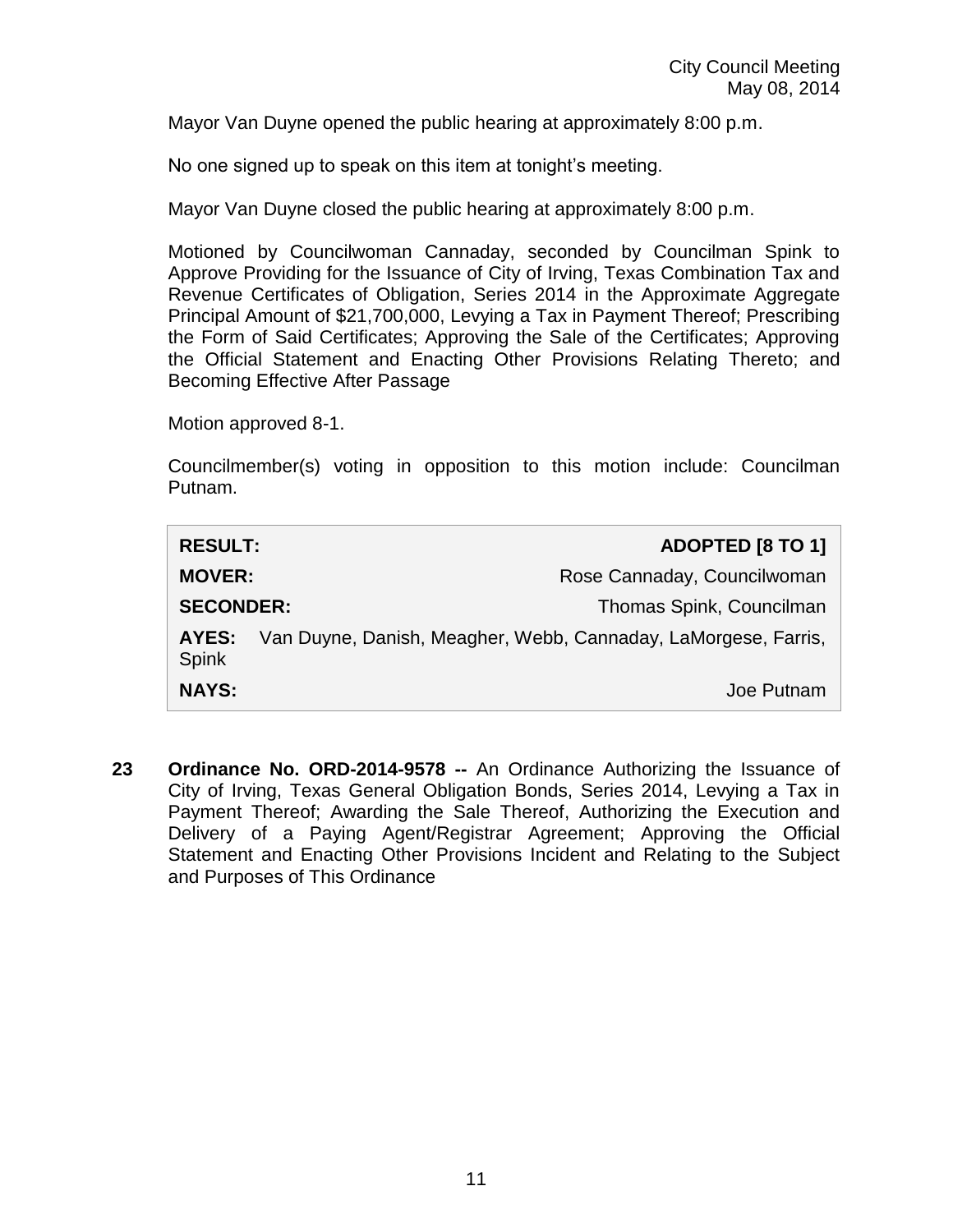Mayor Van Duyne opened the public hearing at approximately 8:00 p.m.

No one signed up to speak on this item at tonight's meeting.

Mayor Van Duyne closed the public hearing at approximately 8:00 p.m.

Motioned by Councilwoman Cannaday, seconded by Councilman Spink to Approve Providing for the Issuance of City of Irving, Texas Combination Tax and Revenue Certificates of Obligation, Series 2014 in the Approximate Aggregate Principal Amount of \$21,700,000, Levying a Tax in Payment Thereof; Prescribing the Form of Said Certificates; Approving the Sale of the Certificates; Approving the Official Statement and Enacting Other Provisions Relating Thereto; and Becoming Effective After Passage

Motion approved 8-1.

Councilmember(s) voting in opposition to this motion include: Councilman Putnam.

| <b>RESULT:</b>        | <b>ADOPTED [8 TO 1]</b>                                        |
|-----------------------|----------------------------------------------------------------|
| <b>MOVER:</b>         | Rose Cannaday, Councilwoman                                    |
| <b>SECONDER:</b>      | Thomas Spink, Councilman                                       |
| AYES:<br><b>Spink</b> | Van Duyne, Danish, Meagher, Webb, Cannaday, LaMorgese, Farris, |
| <b>NAYS:</b>          | Joe Putnam                                                     |

**23 Ordinance No. ORD-2014-9578 --** An Ordinance Authorizing the Issuance of City of Irving, Texas General Obligation Bonds, Series 2014, Levying a Tax in Payment Thereof; Awarding the Sale Thereof, Authorizing the Execution and Delivery of a Paying Agent/Registrar Agreement; Approving the Official Statement and Enacting Other Provisions Incident and Relating to the Subject and Purposes of This Ordinance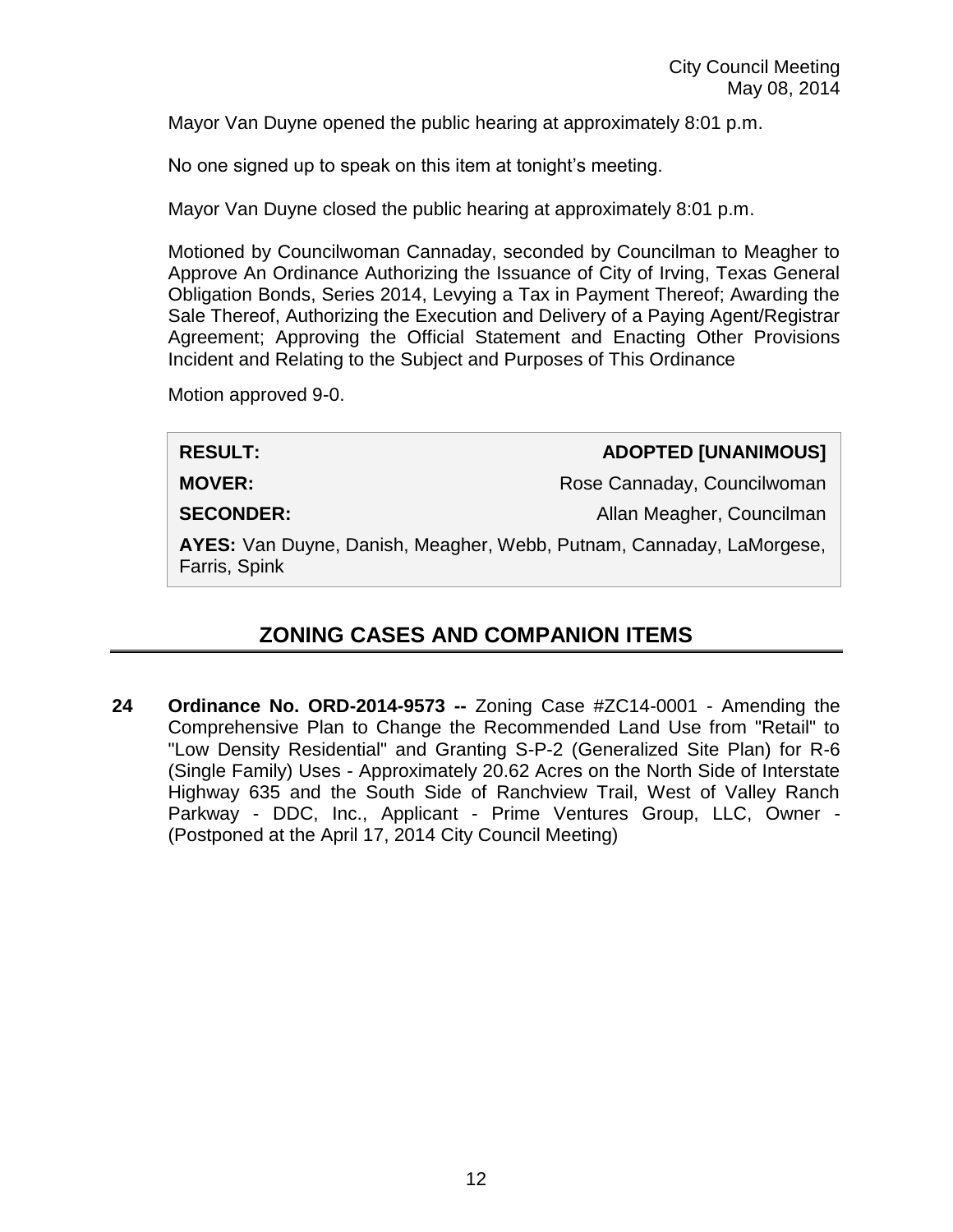Mayor Van Duyne opened the public hearing at approximately 8:01 p.m.

No one signed up to speak on this item at tonight's meeting.

Mayor Van Duyne closed the public hearing at approximately 8:01 p.m.

Motioned by Councilwoman Cannaday, seconded by Councilman to Meagher to Approve An Ordinance Authorizing the Issuance of City of Irving, Texas General Obligation Bonds, Series 2014, Levying a Tax in Payment Thereof; Awarding the Sale Thereof, Authorizing the Execution and Delivery of a Paying Agent/Registrar Agreement; Approving the Official Statement and Enacting Other Provisions Incident and Relating to the Subject and Purposes of This Ordinance

Motion approved 9-0.

**RESULT: ADOPTED [UNANIMOUS]**

**MOVER:** Rose Cannaday, Councilwoman

**SECONDER:** Allan Meagher, Councilman

**AYES:** Van Duyne, Danish, Meagher, Webb, Putnam, Cannaday, LaMorgese, Farris, Spink

# **ZONING CASES AND COMPANION ITEMS**

**24 Ordinance No. ORD-2014-9573 --** Zoning Case #ZC14-0001 - Amending the Comprehensive Plan to Change the Recommended Land Use from "Retail" to "Low Density Residential" and Granting S-P-2 (Generalized Site Plan) for R-6 (Single Family) Uses - Approximately 20.62 Acres on the North Side of Interstate Highway 635 and the South Side of Ranchview Trail, West of Valley Ranch Parkway - DDC, Inc., Applicant - Prime Ventures Group, LLC, Owner - (Postponed at the April 17, 2014 City Council Meeting)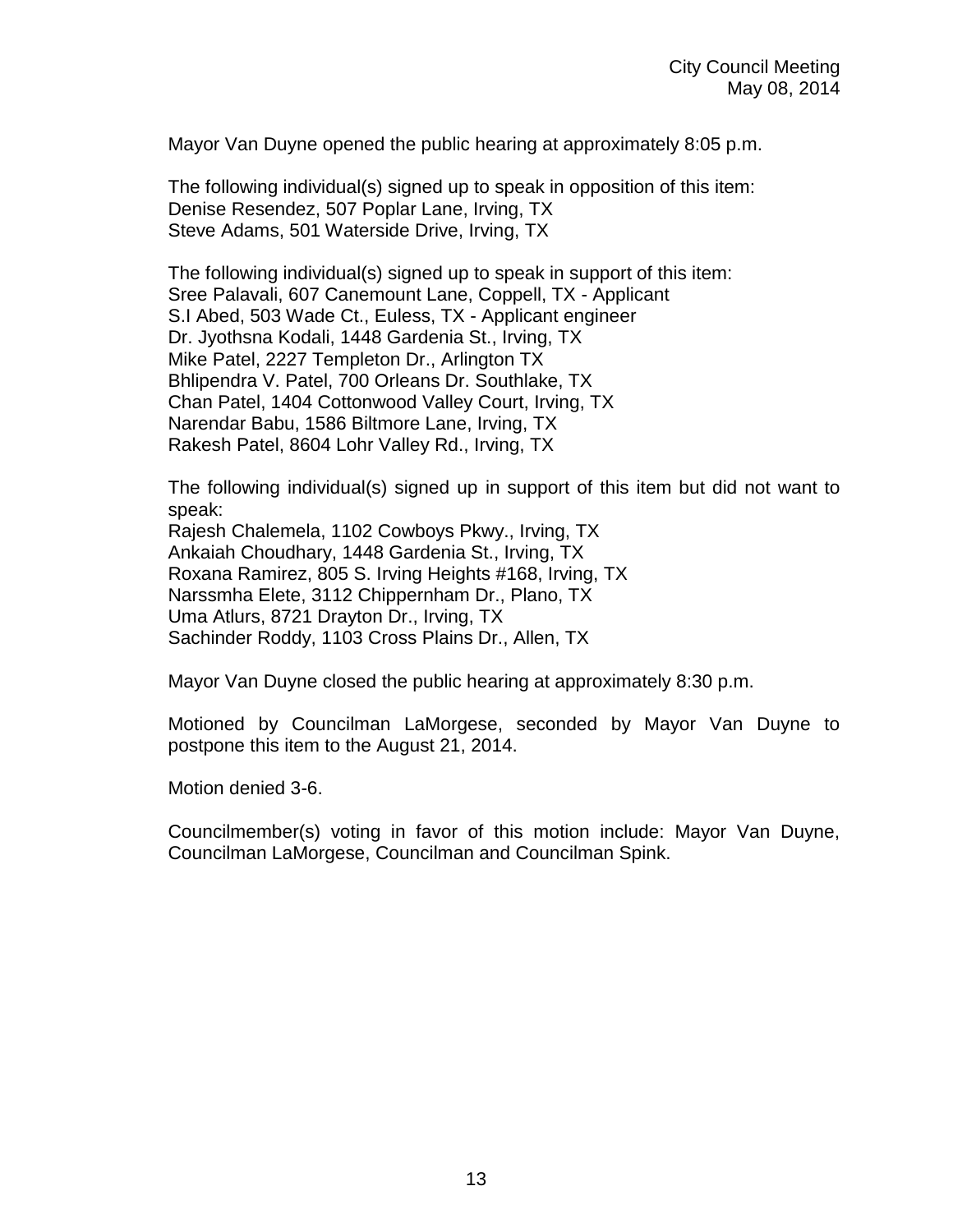Mayor Van Duyne opened the public hearing at approximately 8:05 p.m.

The following individual(s) signed up to speak in opposition of this item: Denise Resendez, 507 Poplar Lane, Irving, TX Steve Adams, 501 Waterside Drive, Irving, TX

The following individual(s) signed up to speak in support of this item: Sree Palavali, 607 Canemount Lane, Coppell, TX - Applicant S.I Abed, 503 Wade Ct., Euless, TX - Applicant engineer Dr. Jyothsna Kodali, 1448 Gardenia St., Irving, TX Mike Patel, 2227 Templeton Dr., Arlington TX Bhlipendra V. Patel, 700 Orleans Dr. Southlake, TX Chan Patel, 1404 Cottonwood Valley Court, Irving, TX Narendar Babu, 1586 Biltmore Lane, Irving, TX Rakesh Patel, 8604 Lohr Valley Rd., Irving, TX

The following individual(s) signed up in support of this item but did not want to speak:

Rajesh Chalemela, 1102 Cowboys Pkwy., Irving, TX Ankaiah Choudhary, 1448 Gardenia St., Irving, TX Roxana Ramirez, 805 S. Irving Heights #168, Irving, TX Narssmha Elete, 3112 Chippernham Dr., Plano, TX Uma Atlurs, 8721 Drayton Dr., Irving, TX Sachinder Roddy, 1103 Cross Plains Dr., Allen, TX

Mayor Van Duyne closed the public hearing at approximately 8:30 p.m.

Motioned by Councilman LaMorgese, seconded by Mayor Van Duyne to postpone this item to the August 21, 2014.

Motion denied 3-6.

Councilmember(s) voting in favor of this motion include: Mayor Van Duyne, Councilman LaMorgese, Councilman and Councilman Spink.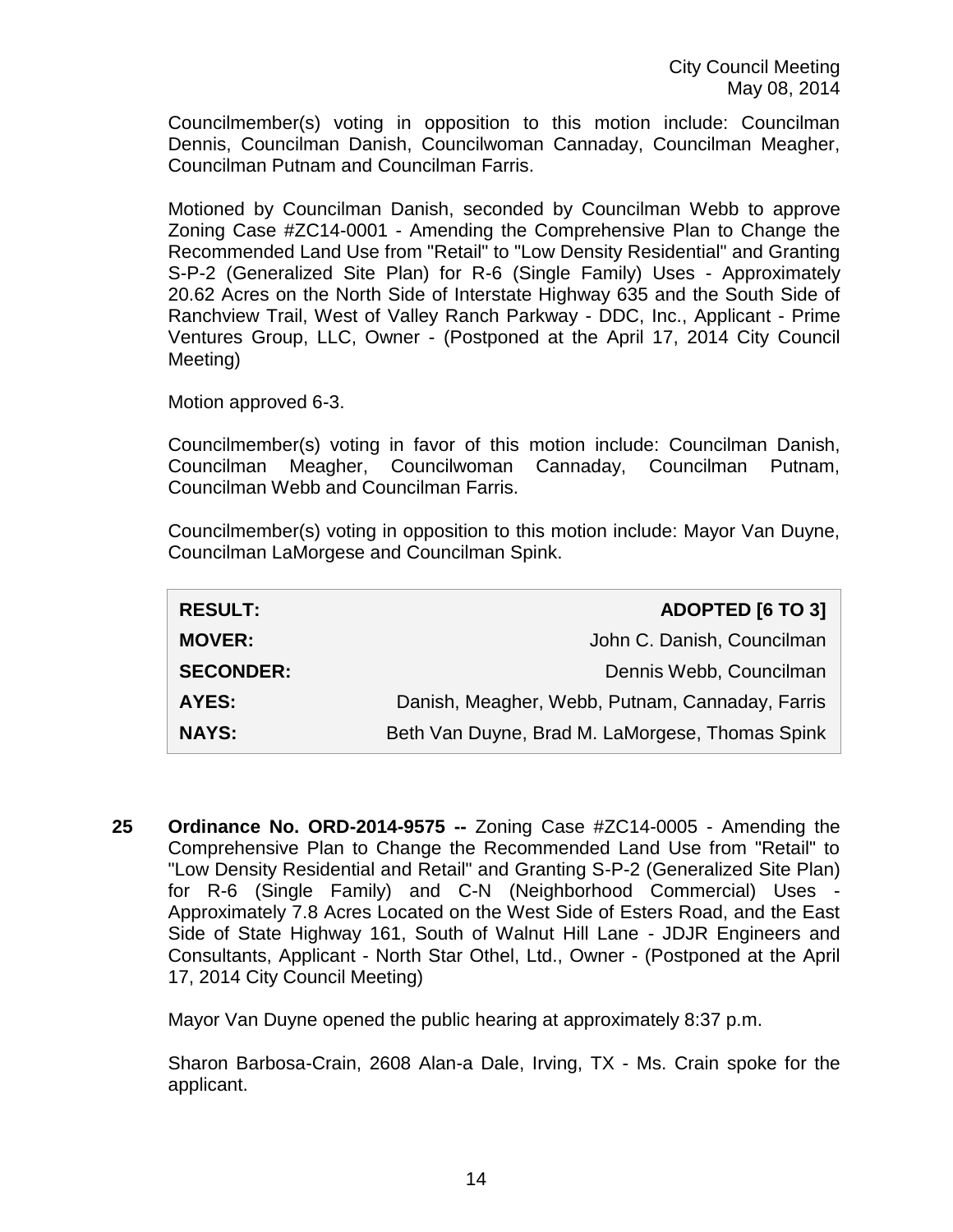Councilmember(s) voting in opposition to this motion include: Councilman Dennis, Councilman Danish, Councilwoman Cannaday, Councilman Meagher, Councilman Putnam and Councilman Farris.

Motioned by Councilman Danish, seconded by Councilman Webb to approve Zoning Case #ZC14-0001 - Amending the Comprehensive Plan to Change the Recommended Land Use from "Retail" to "Low Density Residential" and Granting S-P-2 (Generalized Site Plan) for R-6 (Single Family) Uses - Approximately 20.62 Acres on the North Side of Interstate Highway 635 and the South Side of Ranchview Trail, West of Valley Ranch Parkway - DDC, Inc., Applicant - Prime Ventures Group, LLC, Owner - (Postponed at the April 17, 2014 City Council Meeting)

Motion approved 6-3.

Councilmember(s) voting in favor of this motion include: Councilman Danish, Councilman Meagher, Councilwoman Cannaday, Councilman Putnam, Councilman Webb and Councilman Farris.

Councilmember(s) voting in opposition to this motion include: Mayor Van Duyne, Councilman LaMorgese and Councilman Spink.

| <b>RESULT:</b>   | <b>ADOPTED [6 TO 3]</b>                         |
|------------------|-------------------------------------------------|
| <b>MOVER:</b>    | John C. Danish, Councilman                      |
| <b>SECONDER:</b> | Dennis Webb, Councilman                         |
| <b>AYES:</b>     | Danish, Meagher, Webb, Putnam, Cannaday, Farris |
| <b>NAYS:</b>     | Beth Van Duyne, Brad M. LaMorgese, Thomas Spink |

**25 Ordinance No. ORD-2014-9575 --** Zoning Case #ZC14-0005 - Amending the Comprehensive Plan to Change the Recommended Land Use from "Retail" to "Low Density Residential and Retail" and Granting S-P-2 (Generalized Site Plan) for R-6 (Single Family) and C-N (Neighborhood Commercial) Uses - Approximately 7.8 Acres Located on the West Side of Esters Road, and the East Side of State Highway 161, South of Walnut Hill Lane - JDJR Engineers and Consultants, Applicant - North Star Othel, Ltd., Owner - (Postponed at the April 17, 2014 City Council Meeting)

Mayor Van Duyne opened the public hearing at approximately 8:37 p.m.

Sharon Barbosa-Crain, 2608 Alan-a Dale, Irving, TX - Ms. Crain spoke for the applicant.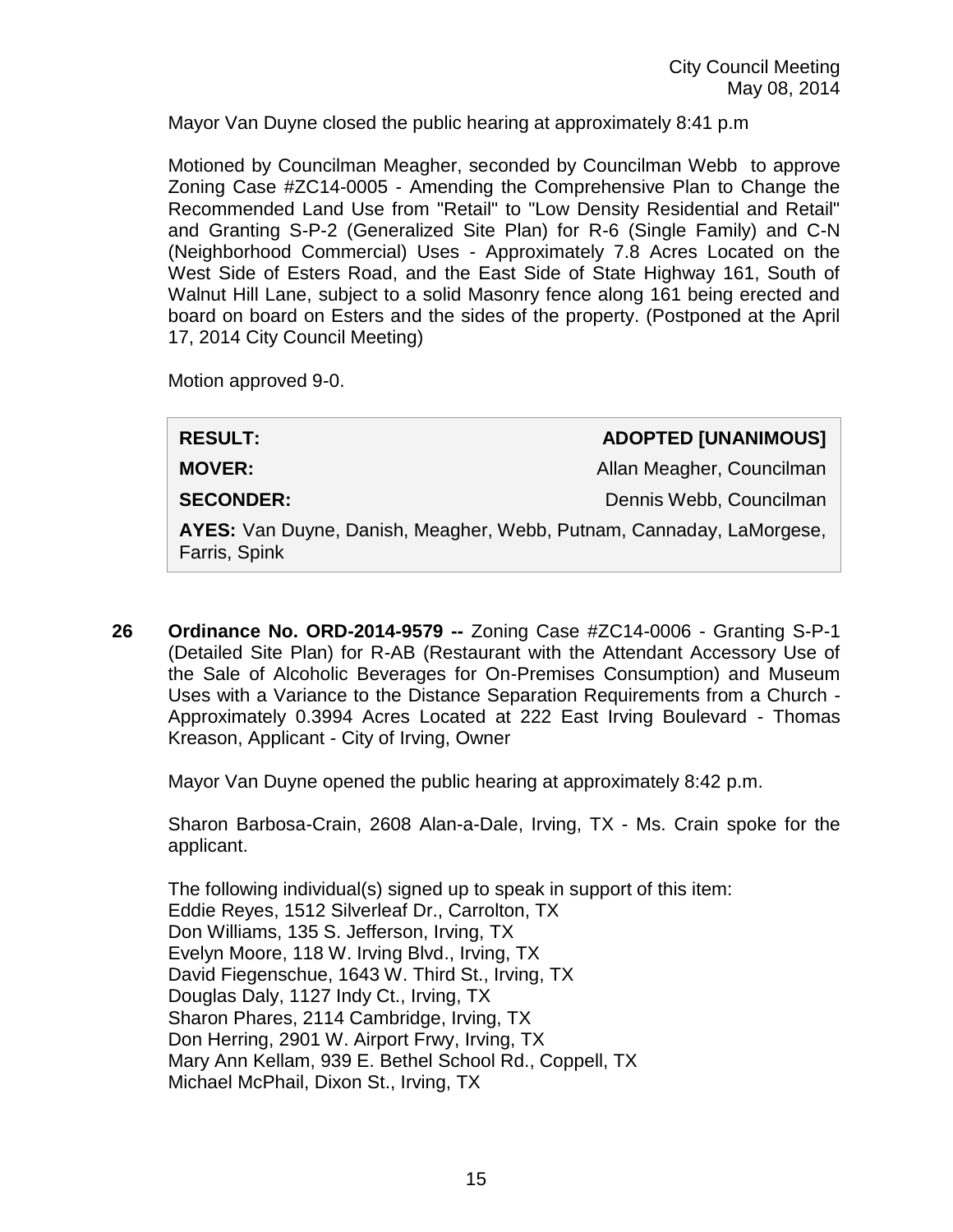Mayor Van Duyne closed the public hearing at approximately 8:41 p.m

Motioned by Councilman Meagher, seconded by Councilman Webb to approve Zoning Case #ZC14-0005 - Amending the Comprehensive Plan to Change the Recommended Land Use from "Retail" to "Low Density Residential and Retail" and Granting S-P-2 (Generalized Site Plan) for R-6 (Single Family) and C-N (Neighborhood Commercial) Uses - Approximately 7.8 Acres Located on the West Side of Esters Road, and the East Side of State Highway 161, South of Walnut Hill Lane, subject to a solid Masonry fence along 161 being erected and board on board on Esters and the sides of the property. (Postponed at the April 17, 2014 City Council Meeting)

Motion approved 9-0.

| <b>RESULT:</b>                                                                        | <b>ADOPTED [UNANIMOUS]</b> |
|---------------------------------------------------------------------------------------|----------------------------|
| <b>MOVER:</b>                                                                         | Allan Meagher, Councilman  |
| <b>SECONDER:</b>                                                                      | Dennis Webb, Councilman    |
| AYES: Van Duyne, Danish, Meagher, Webb, Putnam, Cannaday, LaMorgese,<br>Farris, Spink |                            |
|                                                                                       |                            |

**26 Ordinance No. ORD-2014-9579 --** Zoning Case #ZC14-0006 - Granting S-P-1 (Detailed Site Plan) for R-AB (Restaurant with the Attendant Accessory Use of the Sale of Alcoholic Beverages for On-Premises Consumption) and Museum Uses with a Variance to the Distance Separation Requirements from a Church - Approximately 0.3994 Acres Located at 222 East Irving Boulevard - Thomas Kreason, Applicant - City of Irving, Owner

Mayor Van Duyne opened the public hearing at approximately 8:42 p.m.

Sharon Barbosa-Crain, 2608 Alan-a-Dale, Irving, TX - Ms. Crain spoke for the applicant.

The following individual(s) signed up to speak in support of this item: Eddie Reyes, 1512 Silverleaf Dr., Carrolton, TX Don Williams, 135 S. Jefferson, Irving, TX Evelyn Moore, 118 W. Irving Blvd., Irving, TX David Fiegenschue, 1643 W. Third St., Irving, TX Douglas Daly, 1127 Indy Ct., Irving, TX Sharon Phares, 2114 Cambridge, Irving, TX Don Herring, 2901 W. Airport Frwy, Irving, TX Mary Ann Kellam, 939 E. Bethel School Rd., Coppell, TX Michael McPhail, Dixon St., Irving, TX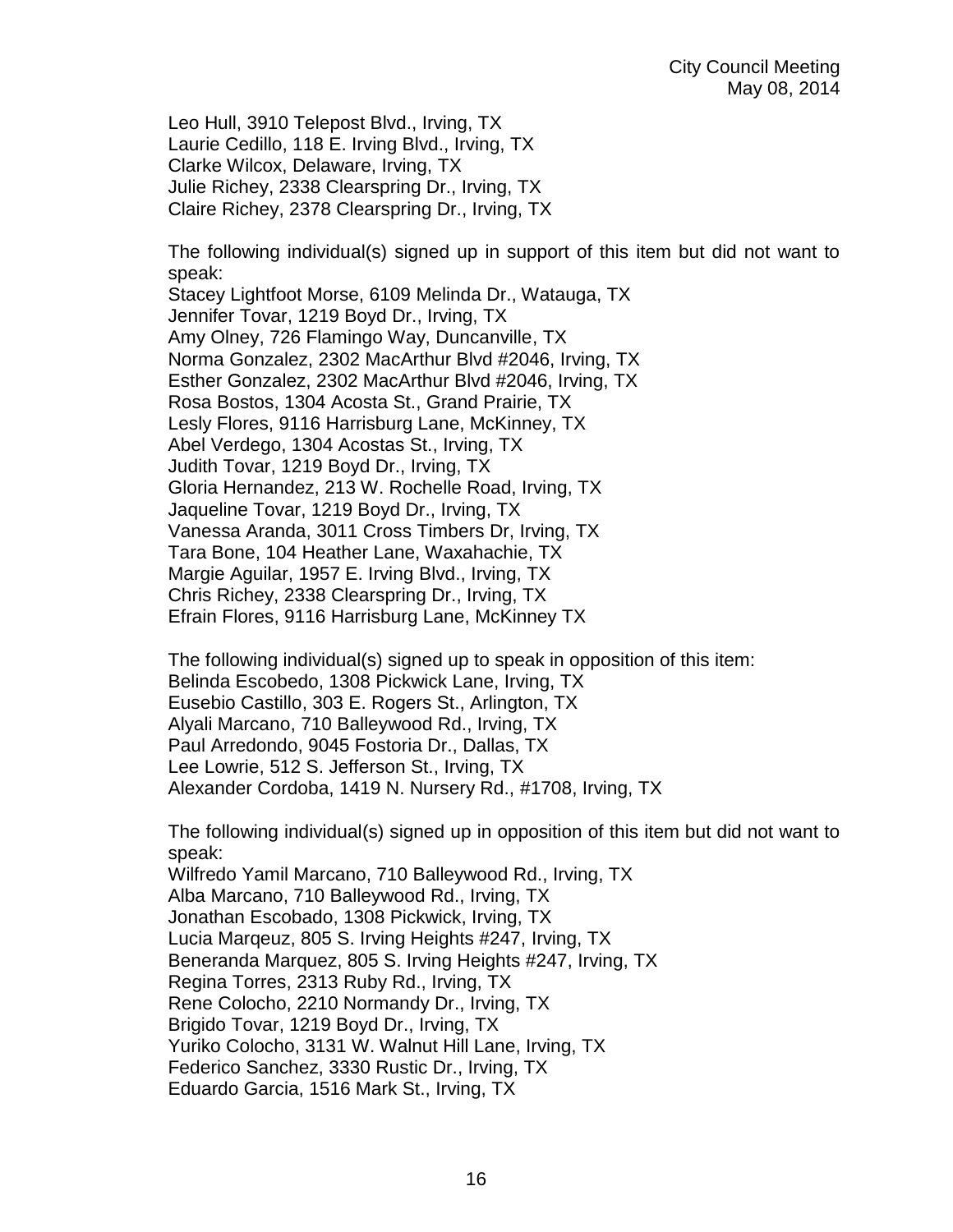Leo Hull, 3910 Telepost Blvd., Irving, TX Laurie Cedillo, 118 E. Irving Blvd., Irving, TX Clarke Wilcox, Delaware, Irving, TX Julie Richey, 2338 Clearspring Dr., Irving, TX Claire Richey, 2378 Clearspring Dr., Irving, TX

The following individual(s) signed up in support of this item but did not want to speak:

Stacey Lightfoot Morse, 6109 Melinda Dr., Watauga, TX Jennifer Tovar, 1219 Boyd Dr., Irving, TX Amy Olney, 726 Flamingo Way, Duncanville, TX Norma Gonzalez, 2302 MacArthur Blvd #2046, Irving, TX Esther Gonzalez, 2302 MacArthur Blvd #2046, Irving, TX Rosa Bostos, 1304 Acosta St., Grand Prairie, TX Lesly Flores, 9116 Harrisburg Lane, McKinney, TX Abel Verdego, 1304 Acostas St., Irving, TX Judith Tovar, 1219 Boyd Dr., Irving, TX Gloria Hernandez, 213 W. Rochelle Road, Irving, TX Jaqueline Tovar, 1219 Boyd Dr., Irving, TX Vanessa Aranda, 3011 Cross Timbers Dr, Irving, TX Tara Bone, 104 Heather Lane, Waxahachie, TX Margie Aguilar, 1957 E. Irving Blvd., Irving, TX Chris Richey, 2338 Clearspring Dr., Irving, TX Efrain Flores, 9116 Harrisburg Lane, McKinney TX

The following individual(s) signed up to speak in opposition of this item: Belinda Escobedo, 1308 Pickwick Lane, Irving, TX Eusebio Castillo, 303 E. Rogers St., Arlington, TX Alyali Marcano, 710 Balleywood Rd., Irving, TX Paul Arredondo, 9045 Fostoria Dr., Dallas, TX Lee Lowrie, 512 S. Jefferson St., Irving, TX Alexander Cordoba, 1419 N. Nursery Rd., #1708, Irving, TX

The following individual(s) signed up in opposition of this item but did not want to speak:

Wilfredo Yamil Marcano, 710 Balleywood Rd., Irving, TX Alba Marcano, 710 Balleywood Rd., Irving, TX Jonathan Escobado, 1308 Pickwick, Irving, TX Lucia Marqeuz, 805 S. Irving Heights #247, Irving, TX Beneranda Marquez, 805 S. Irving Heights #247, Irving, TX Regina Torres, 2313 Ruby Rd., Irving, TX Rene Colocho, 2210 Normandy Dr., Irving, TX Brigido Tovar, 1219 Boyd Dr., Irving, TX Yuriko Colocho, 3131 W. Walnut Hill Lane, Irving, TX Federico Sanchez, 3330 Rustic Dr., Irving, TX Eduardo Garcia, 1516 Mark St., Irving, TX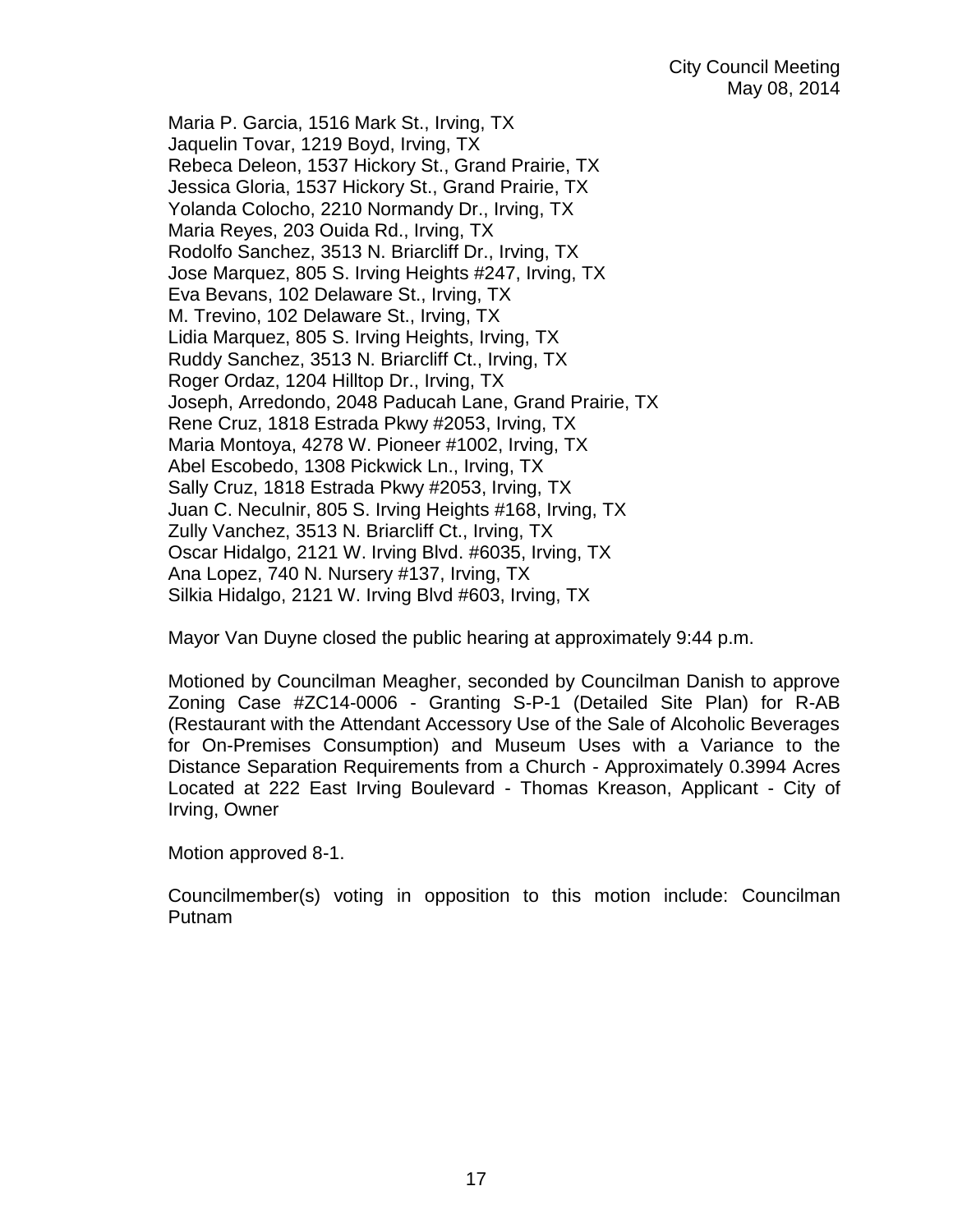Maria P. Garcia, 1516 Mark St., Irving, TX Jaquelin Tovar, 1219 Boyd, Irving, TX Rebeca Deleon, 1537 Hickory St., Grand Prairie, TX Jessica Gloria, 1537 Hickory St., Grand Prairie, TX Yolanda Colocho, 2210 Normandy Dr., Irving, TX Maria Reyes, 203 Ouida Rd., Irving, TX Rodolfo Sanchez, 3513 N. Briarcliff Dr., Irving, TX Jose Marquez, 805 S. Irving Heights #247, Irving, TX Eva Bevans, 102 Delaware St., Irving, TX M. Trevino, 102 Delaware St., Irving, TX Lidia Marquez, 805 S. Irving Heights, Irving, TX Ruddy Sanchez, 3513 N. Briarcliff Ct., Irving, TX Roger Ordaz, 1204 Hilltop Dr., Irving, TX Joseph, Arredondo, 2048 Paducah Lane, Grand Prairie, TX Rene Cruz, 1818 Estrada Pkwy #2053, Irving, TX Maria Montoya, 4278 W. Pioneer #1002, Irving, TX Abel Escobedo, 1308 Pickwick Ln., Irving, TX Sally Cruz, 1818 Estrada Pkwy #2053, Irving, TX Juan C. Neculnir, 805 S. Irving Heights #168, Irving, TX Zully Vanchez, 3513 N. Briarcliff Ct., Irving, TX Oscar Hidalgo, 2121 W. Irving Blvd. #6035, Irving, TX Ana Lopez, 740 N. Nursery #137, Irving, TX Silkia Hidalgo, 2121 W. Irving Blvd #603, Irving, TX

Mayor Van Duyne closed the public hearing at approximately 9:44 p.m.

Motioned by Councilman Meagher, seconded by Councilman Danish to approve Zoning Case #ZC14-0006 - Granting S-P-1 (Detailed Site Plan) for R-AB (Restaurant with the Attendant Accessory Use of the Sale of Alcoholic Beverages for On-Premises Consumption) and Museum Uses with a Variance to the Distance Separation Requirements from a Church - Approximately 0.3994 Acres Located at 222 East Irving Boulevard - Thomas Kreason, Applicant - City of Irving, Owner

Motion approved 8-1.

Councilmember(s) voting in opposition to this motion include: Councilman Putnam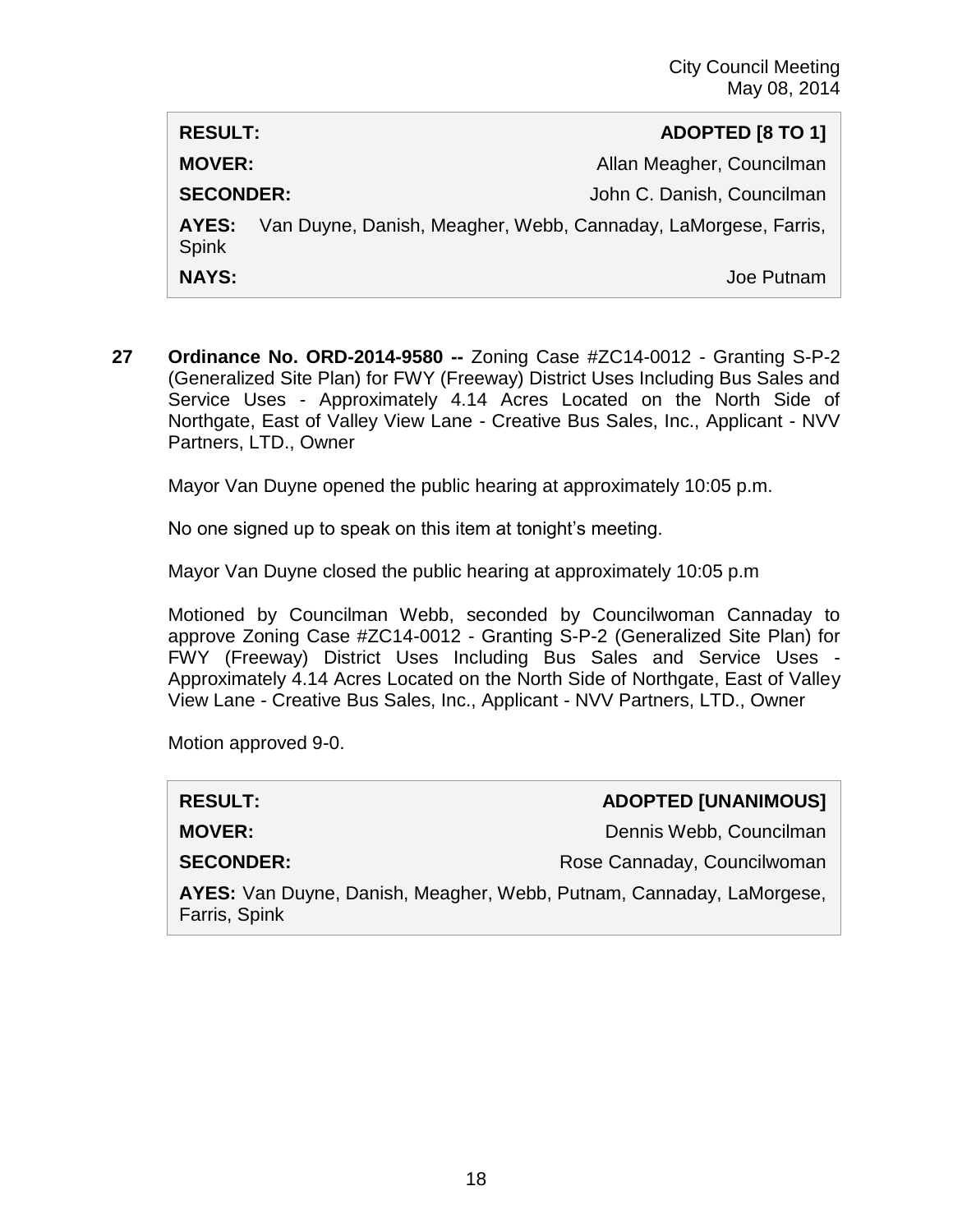| <b>RESULT:</b>        | ADOPTED [8 TO 1]                                               |
|-----------------------|----------------------------------------------------------------|
| <b>MOVER:</b>         | Allan Meagher, Councilman                                      |
| <b>SECONDER:</b>      | John C. Danish, Councilman                                     |
| AYES:<br><b>Spink</b> | Van Duyne, Danish, Meagher, Webb, Cannaday, LaMorgese, Farris, |
| <b>NAYS:</b>          | Joe Putnam                                                     |

**27 Ordinance No. ORD-2014-9580 --** Zoning Case #ZC14-0012 - Granting S-P-2 (Generalized Site Plan) for FWY (Freeway) District Uses Including Bus Sales and Service Uses - Approximately 4.14 Acres Located on the North Side of Northgate, East of Valley View Lane - Creative Bus Sales, Inc., Applicant - NVV Partners, LTD., Owner

Mayor Van Duyne opened the public hearing at approximately 10:05 p.m.

No one signed up to speak on this item at tonight's meeting.

Mayor Van Duyne closed the public hearing at approximately 10:05 p.m

Motioned by Councilman Webb, seconded by Councilwoman Cannaday to approve Zoning Case #ZC14-0012 - Granting S-P-2 (Generalized Site Plan) for FWY (Freeway) District Uses Including Bus Sales and Service Uses - Approximately 4.14 Acres Located on the North Side of Northgate, East of Valley View Lane - Creative Bus Sales, Inc., Applicant - NVV Partners, LTD., Owner

Motion approved 9-0.

| <b>RESULT:</b>                                                                        | <b>ADOPTED [UNANIMOUS]</b>  |
|---------------------------------------------------------------------------------------|-----------------------------|
| <b>MOVER:</b>                                                                         | Dennis Webb, Councilman     |
| <b>SECONDER:</b>                                                                      | Rose Cannaday, Councilwoman |
| AYES: Van Duyne, Danish, Meagher, Webb, Putnam, Cannaday, LaMorgese,<br>Farris, Spink |                             |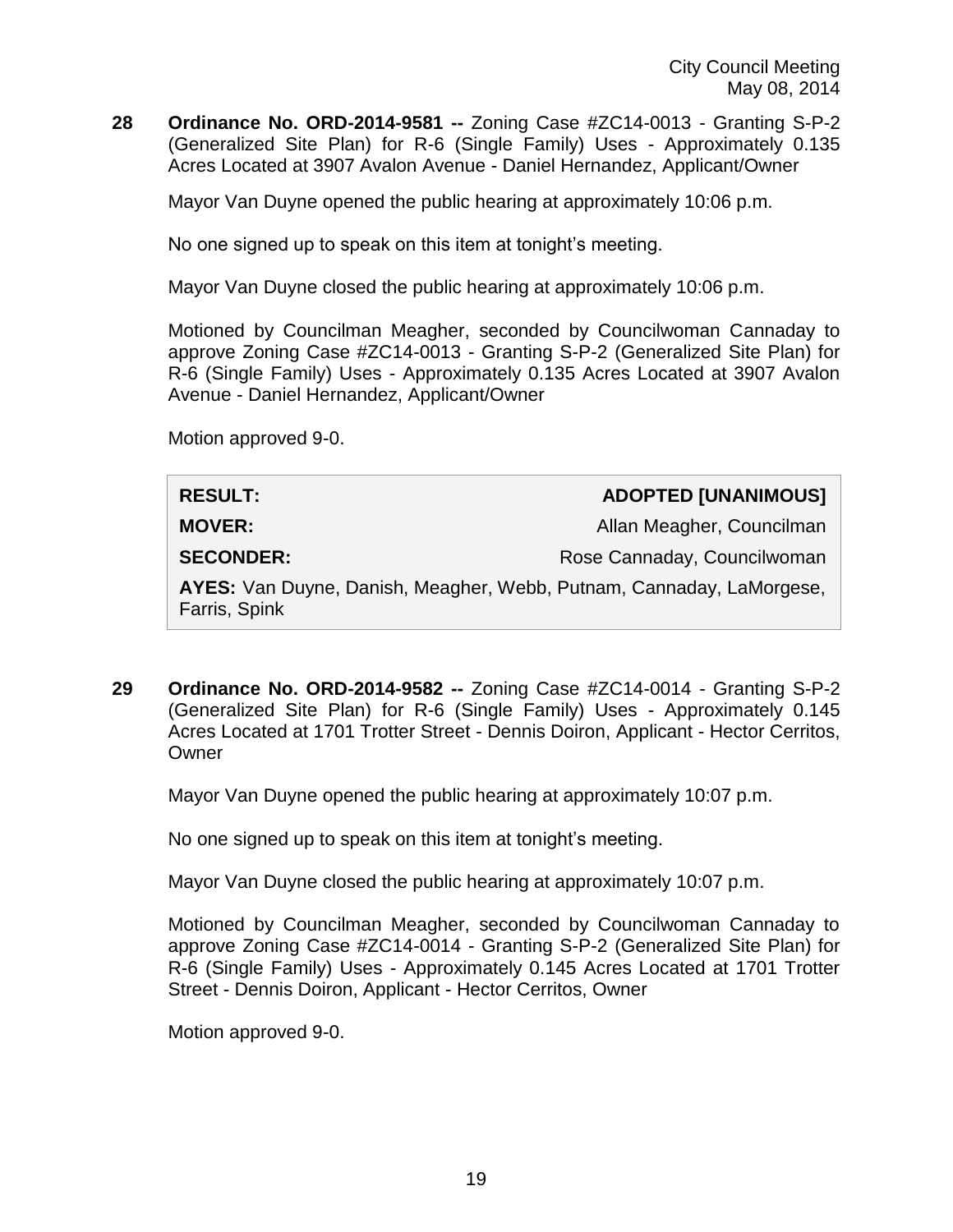**28 Ordinance No. ORD-2014-9581 --** Zoning Case #ZC14-0013 - Granting S-P-2 (Generalized Site Plan) for R-6 (Single Family) Uses - Approximately 0.135 Acres Located at 3907 Avalon Avenue - Daniel Hernandez, Applicant/Owner

Mayor Van Duyne opened the public hearing at approximately 10:06 p.m.

No one signed up to speak on this item at tonight's meeting.

Mayor Van Duyne closed the public hearing at approximately 10:06 p.m.

Motioned by Councilman Meagher, seconded by Councilwoman Cannaday to approve Zoning Case #ZC14-0013 - Granting S-P-2 (Generalized Site Plan) for R-6 (Single Family) Uses - Approximately 0.135 Acres Located at 3907 Avalon Avenue - Daniel Hernandez, Applicant/Owner

Motion approved 9-0.

| <b>RESULT:</b>                                                                        | <b>ADOPTED [UNANIMOUS]</b>  |
|---------------------------------------------------------------------------------------|-----------------------------|
| <b>MOVER:</b>                                                                         | Allan Meagher, Councilman   |
| <b>SECONDER:</b>                                                                      | Rose Cannaday, Councilwoman |
| AYES: Van Duyne, Danish, Meagher, Webb, Putnam, Cannaday, LaMorgese,<br>Farris, Spink |                             |

**29 Ordinance No. ORD-2014-9582 --** Zoning Case #ZC14-0014 - Granting S-P-2 (Generalized Site Plan) for R-6 (Single Family) Uses - Approximately 0.145 Acres Located at 1701 Trotter Street - Dennis Doiron, Applicant - Hector Cerritos, **Owner** 

Mayor Van Duyne opened the public hearing at approximately 10:07 p.m.

No one signed up to speak on this item at tonight's meeting.

Mayor Van Duyne closed the public hearing at approximately 10:07 p.m.

Motioned by Councilman Meagher, seconded by Councilwoman Cannaday to approve Zoning Case #ZC14-0014 - Granting S-P-2 (Generalized Site Plan) for R-6 (Single Family) Uses - Approximately 0.145 Acres Located at 1701 Trotter Street - Dennis Doiron, Applicant - Hector Cerritos, Owner

Motion approved 9-0.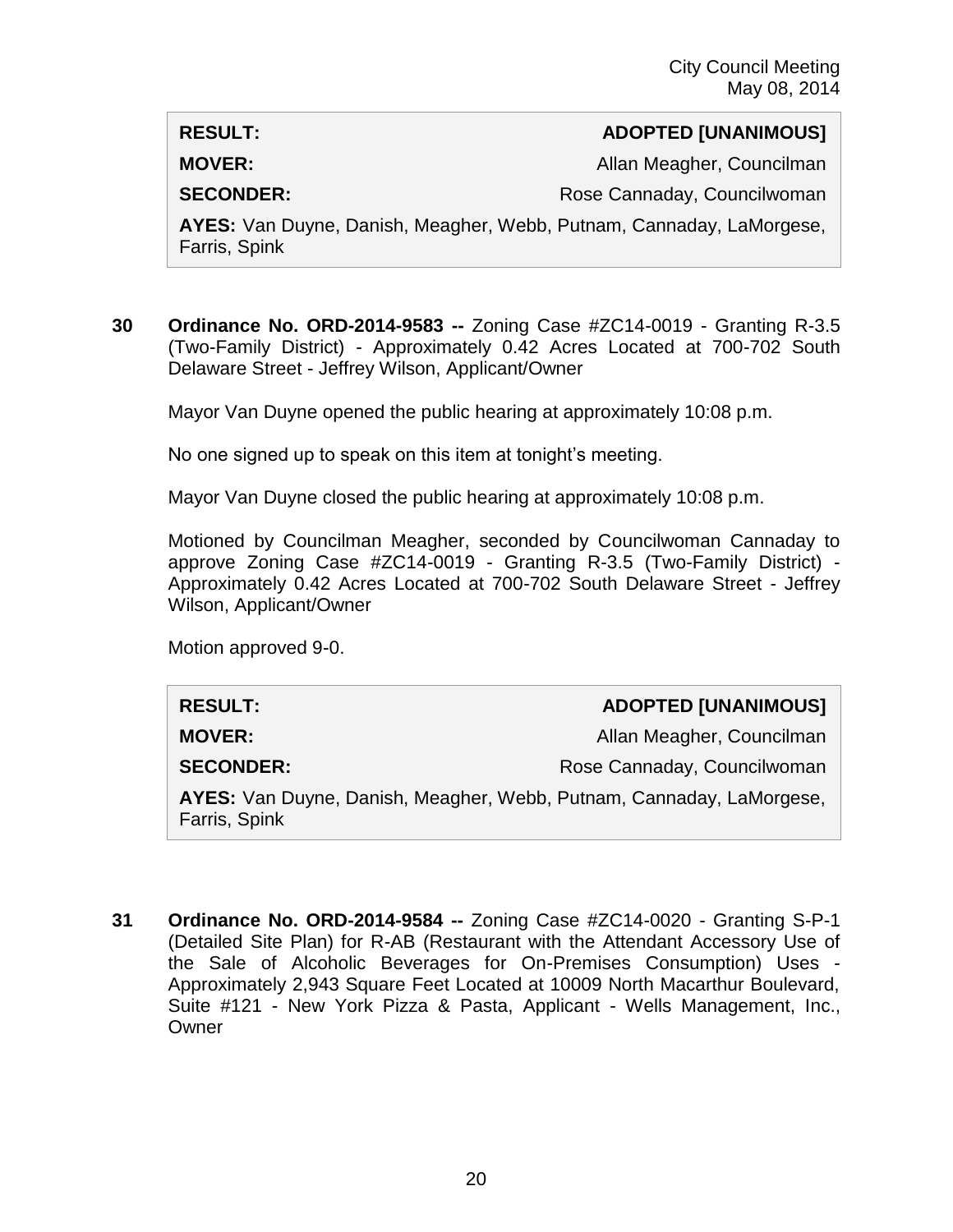### **RESULT: ADOPTED [UNANIMOUS]**

**MOVER:** Allan Meagher, Councilman

**SECONDER:** Rose Cannaday, Councilwoman

**AYES:** Van Duyne, Danish, Meagher, Webb, Putnam, Cannaday, LaMorgese, Farris, Spink

**30 Ordinance No. ORD-2014-9583 --** Zoning Case #ZC14-0019 - Granting R-3.5 (Two-Family District) - Approximately 0.42 Acres Located at 700-702 South Delaware Street - Jeffrey Wilson, Applicant/Owner

Mayor Van Duyne opened the public hearing at approximately 10:08 p.m.

No one signed up to speak on this item at tonight's meeting.

Mayor Van Duyne closed the public hearing at approximately 10:08 p.m.

Motioned by Councilman Meagher, seconded by Councilwoman Cannaday to approve Zoning Case #ZC14-0019 - Granting R-3.5 (Two-Family District) - Approximately 0.42 Acres Located at 700-702 South Delaware Street - Jeffrey Wilson, Applicant/Owner

Motion approved 9-0.

#### **RESULT: ADOPTED [UNANIMOUS]**

**MOVER:** Allan Meagher, Councilman

**SECONDER:** Rose Cannaday, Councilwoman

**AYES:** Van Duyne, Danish, Meagher, Webb, Putnam, Cannaday, LaMorgese, Farris, Spink

**31 Ordinance No. ORD-2014-9584 --** Zoning Case #ZC14-0020 - Granting S-P-1 (Detailed Site Plan) for R-AB (Restaurant with the Attendant Accessory Use of the Sale of Alcoholic Beverages for On-Premises Consumption) Uses - Approximately 2,943 Square Feet Located at 10009 North Macarthur Boulevard, Suite #121 - New York Pizza & Pasta, Applicant - Wells Management, Inc., **Owner**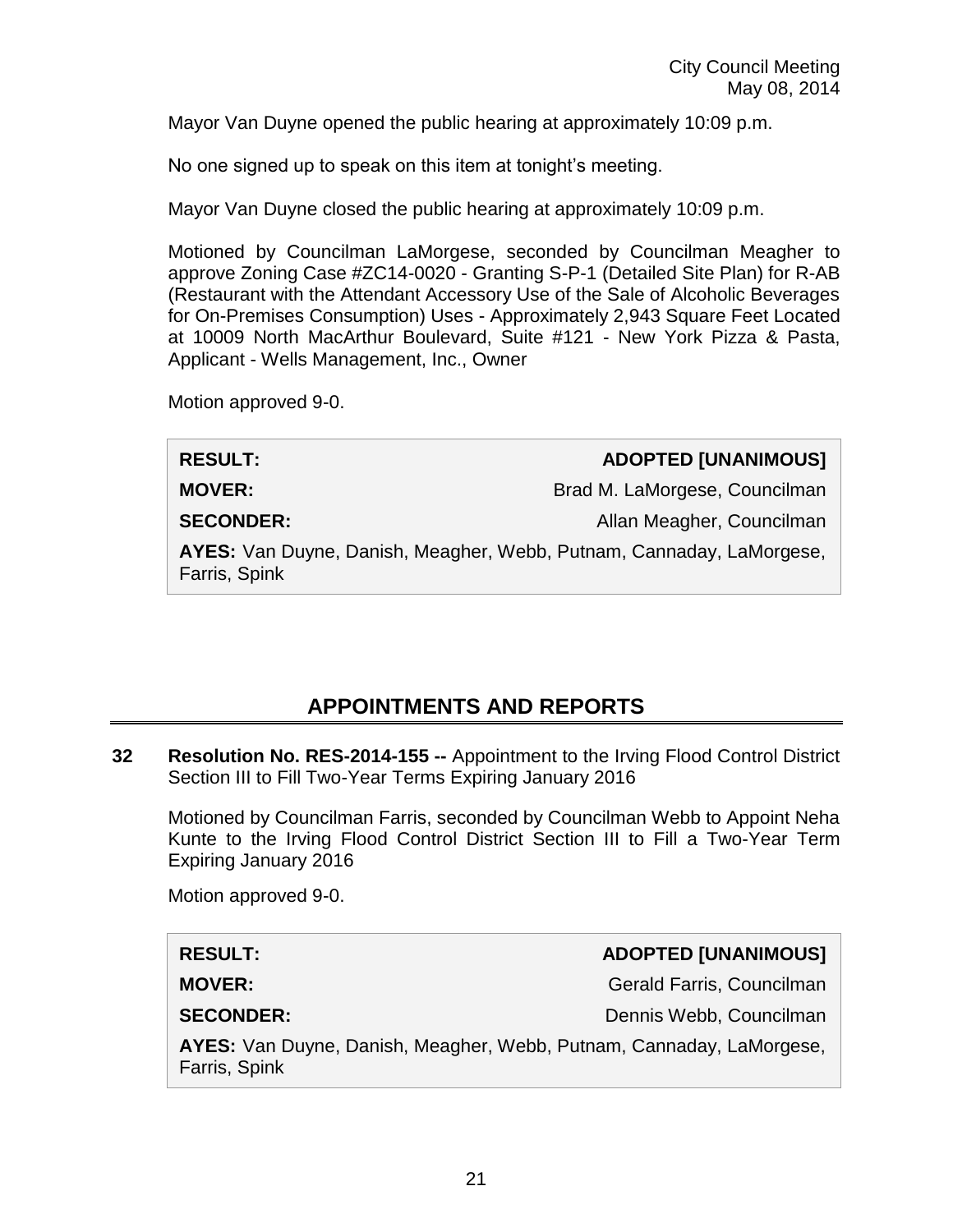Mayor Van Duyne opened the public hearing at approximately 10:09 p.m.

No one signed up to speak on this item at tonight's meeting.

Mayor Van Duyne closed the public hearing at approximately 10:09 p.m.

Motioned by Councilman LaMorgese, seconded by Councilman Meagher to approve Zoning Case #ZC14-0020 - Granting S-P-1 (Detailed Site Plan) for R-AB (Restaurant with the Attendant Accessory Use of the Sale of Alcoholic Beverages for On-Premises Consumption) Uses - Approximately 2,943 Square Feet Located at 10009 North MacArthur Boulevard, Suite #121 - New York Pizza & Pasta, Applicant - Wells Management, Inc., Owner

Motion approved 9-0.

| <b>RESULT:</b>                                                                        | <b>ADOPTED [UNANIMOUS]</b>    |
|---------------------------------------------------------------------------------------|-------------------------------|
| <b>MOVER:</b>                                                                         | Brad M. LaMorgese, Councilman |
| <b>SECONDER:</b>                                                                      | Allan Meagher, Councilman     |
| AYES: Van Duyne, Danish, Meagher, Webb, Putnam, Cannaday, LaMorgese,<br>Farris, Spink |                               |
|                                                                                       |                               |

# **APPOINTMENTS AND REPORTS**

**32 Resolution No. RES-2014-155 --** Appointment to the Irving Flood Control District Section III to Fill Two-Year Terms Expiring January 2016

Motioned by Councilman Farris, seconded by Councilman Webb to Appoint Neha Kunte to the Irving Flood Control District Section III to Fill a Two-Year Term Expiring January 2016

Motion approved 9-0.

#### **RESULT: ADOPTED [UNANIMOUS]**

**MOVER:** Gerald Farris, Councilman

**SECONDER:** Dennis Webb, Councilman

**AYES:** Van Duyne, Danish, Meagher, Webb, Putnam, Cannaday, LaMorgese, Farris, Spink